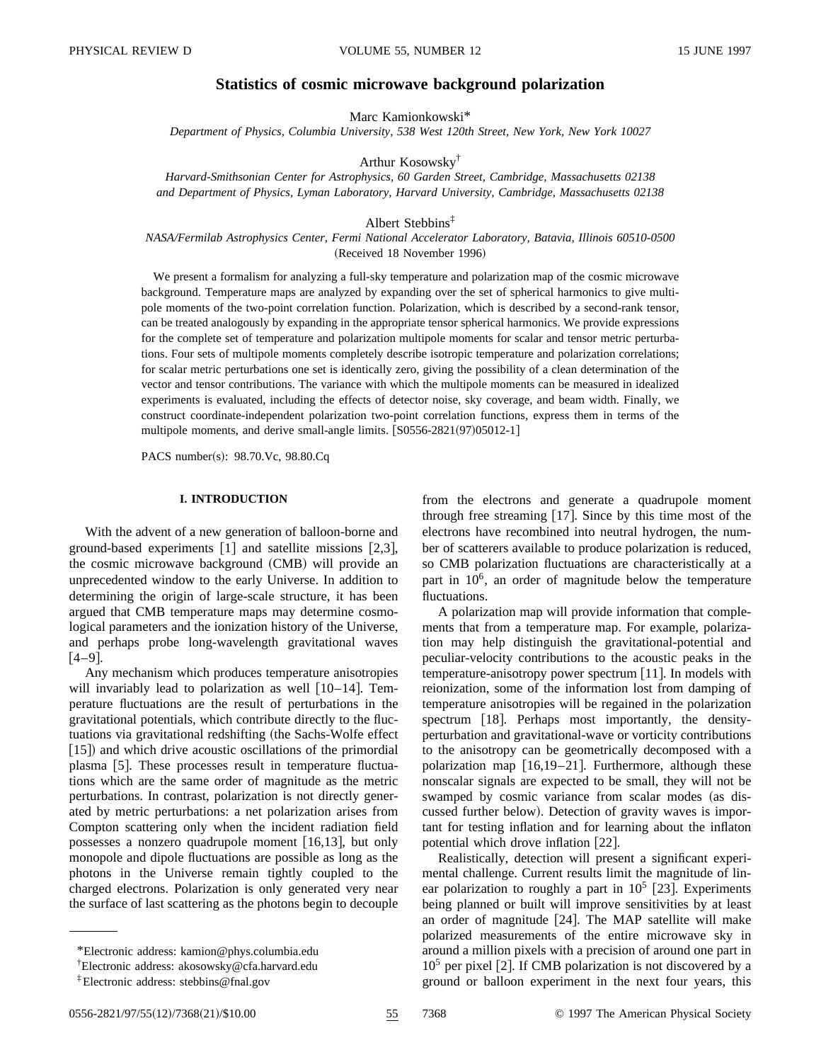# **Statistics of cosmic microwave background polarization**

Marc Kamionkowski\*

*Department of Physics, Columbia University, 538 West 120th Street, New York, New York 10027*

Arthur Kosowsky†

*Harvard-Smithsonian Center for Astrophysics, 60 Garden Street, Cambridge, Massachusetts 02138 and Department of Physics, Lyman Laboratory, Harvard University, Cambridge, Massachusetts 02138*

Albert Stebbins‡

*NASA/Fermilab Astrophysics Center, Fermi National Accelerator Laboratory, Batavia, Illinois 60510-0500* (Received 18 November 1996)

We present a formalism for analyzing a full-sky temperature and polarization map of the cosmic microwave background. Temperature maps are analyzed by expanding over the set of spherical harmonics to give multipole moments of the two-point correlation function. Polarization, which is described by a second-rank tensor, can be treated analogously by expanding in the appropriate tensor spherical harmonics. We provide expressions for the complete set of temperature and polarization multipole moments for scalar and tensor metric perturbations. Four sets of multipole moments completely describe isotropic temperature and polarization correlations; for scalar metric perturbations one set is identically zero, giving the possibility of a clean determination of the vector and tensor contributions. The variance with which the multipole moments can be measured in idealized experiments is evaluated, including the effects of detector noise, sky coverage, and beam width. Finally, we construct coordinate-independent polarization two-point correlation functions, express them in terms of the multipole moments, and derive small-angle limits.  $[$0556-2821(97)05012-1]$ 

PACS number(s): 98.70.Vc, 98.80.Cq

## **I. INTRODUCTION**

With the advent of a new generation of balloon-borne and ground-based experiments  $\lceil 1 \rceil$  and satellite missions  $\lceil 2.3 \rceil$ , the cosmic microwave background (CMB) will provide an unprecedented window to the early Universe. In addition to determining the origin of large-scale structure, it has been argued that CMB temperature maps may determine cosmological parameters and the ionization history of the Universe, and perhaps probe long-wavelength gravitational waves  $[4-9]$ .

Any mechanism which produces temperature anisotropies will invariably lead to polarization as well  $[10-14]$ . Temperature fluctuations are the result of perturbations in the gravitational potentials, which contribute directly to the fluctuations via gravitational redshifting (the Sachs-Wolfe effect  $[15]$ ) and which drive acoustic oscillations of the primordial plasma [5]. These processes result in temperature fluctuations which are the same order of magnitude as the metric perturbations. In contrast, polarization is not directly generated by metric perturbations: a net polarization arises from Compton scattering only when the incident radiation field possesses a nonzero quadrupole moment  $[16,13]$ , but only monopole and dipole fluctuations are possible as long as the photons in the Universe remain tightly coupled to the charged electrons. Polarization is only generated very near the surface of last scattering as the photons begin to decouple

from the electrons and generate a quadrupole moment through free streaming  $[17]$ . Since by this time most of the electrons have recombined into neutral hydrogen, the number of scatterers available to produce polarization is reduced, so CMB polarization fluctuations are characteristically at a part in  $10^6$ , an order of magnitude below the temperature fluctuations.

A polarization map will provide information that complements that from a temperature map. For example, polarization may help distinguish the gravitational-potential and peculiar-velocity contributions to the acoustic peaks in the temperature-anisotropy power spectrum [11]. In models with reionization, some of the information lost from damping of temperature anisotropies will be regained in the polarization spectrum  $[18]$ . Perhaps most importantly, the densityperturbation and gravitational-wave or vorticity contributions to the anisotropy can be geometrically decomposed with a polarization map  $[16,19-21]$ . Furthermore, although these nonscalar signals are expected to be small, they will not be swamped by cosmic variance from scalar modes (as discussed further below). Detection of gravity waves is important for testing inflation and for learning about the inflaton potential which drove inflation  $[22]$ .

Realistically, detection will present a significant experimental challenge. Current results limit the magnitude of linear polarization to roughly a part in  $10^5$  [23]. Experiments being planned or built will improve sensitivities by at least an order of magnitude  $[24]$ . The MAP satellite will make polarized measurements of the entire microwave sky in around a million pixels with a precision of around one part in  $10<sup>5</sup>$  per pixel [2]. If CMB polarization is not discovered by a ground or balloon experiment in the next four years, this

<sup>\*</sup>Electronic address: kamion@phys.columbia.edu

<sup>†</sup> Electronic address: akosowsky@cfa.harvard.edu

<sup>‡</sup>Electronic address: stebbins@fnal.gov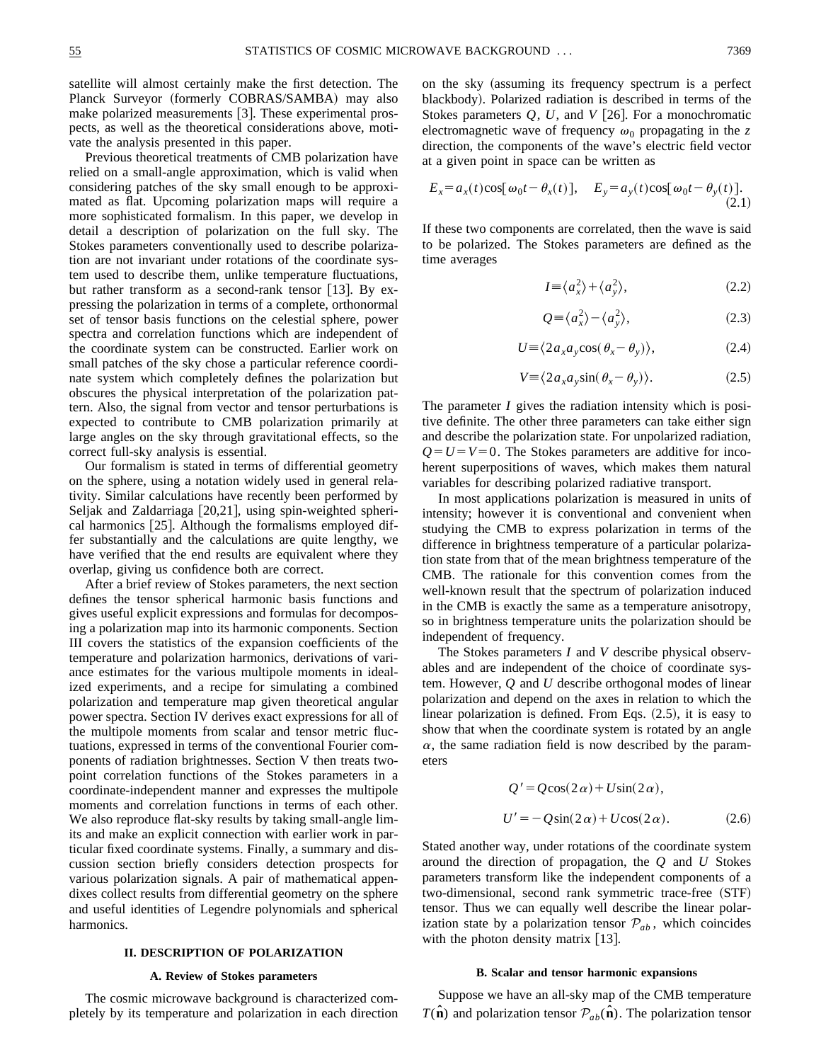satellite will almost certainly make the first detection. The Planck Surveyor (formerly COBRAS/SAMBA) may also make polarized measurements  $\lceil 3 \rceil$ . These experimental prospects, as well as the theoretical considerations above, motivate the analysis presented in this paper.

Previous theoretical treatments of CMB polarization have relied on a small-angle approximation, which is valid when considering patches of the sky small enough to be approximated as flat. Upcoming polarization maps will require a more sophisticated formalism. In this paper, we develop in detail a description of polarization on the full sky. The Stokes parameters conventionally used to describe polarization are not invariant under rotations of the coordinate system used to describe them, unlike temperature fluctuations, but rather transform as a second-rank tensor [13]. By expressing the polarization in terms of a complete, orthonormal set of tensor basis functions on the celestial sphere, power spectra and correlation functions which are independent of the coordinate system can be constructed. Earlier work on small patches of the sky chose a particular reference coordinate system which completely defines the polarization but obscures the physical interpretation of the polarization pattern. Also, the signal from vector and tensor perturbations is expected to contribute to CMB polarization primarily at large angles on the sky through gravitational effects, so the correct full-sky analysis is essential.

Our formalism is stated in terms of differential geometry on the sphere, using a notation widely used in general relativity. Similar calculations have recently been performed by Seljak and Zaldarriaga  $[20,21]$ , using spin-weighted spherical harmonics  $\left| 25 \right|$ . Although the formalisms employed differ substantially and the calculations are quite lengthy, we have verified that the end results are equivalent where they overlap, giving us confidence both are correct.

After a brief review of Stokes parameters, the next section defines the tensor spherical harmonic basis functions and gives useful explicit expressions and formulas for decomposing a polarization map into its harmonic components. Section III covers the statistics of the expansion coefficients of the temperature and polarization harmonics, derivations of variance estimates for the various multipole moments in idealized experiments, and a recipe for simulating a combined polarization and temperature map given theoretical angular power spectra. Section IV derives exact expressions for all of the multipole moments from scalar and tensor metric fluctuations, expressed in terms of the conventional Fourier components of radiation brightnesses. Section V then treats twopoint correlation functions of the Stokes parameters in a coordinate-independent manner and expresses the multipole moments and correlation functions in terms of each other. We also reproduce flat-sky results by taking small-angle limits and make an explicit connection with earlier work in particular fixed coordinate systems. Finally, a summary and discussion section briefly considers detection prospects for various polarization signals. A pair of mathematical appendixes collect results from differential geometry on the sphere and useful identities of Legendre polynomials and spherical harmonics.

## **II. DESCRIPTION OF POLARIZATION**

## **A. Review of Stokes parameters**

The cosmic microwave background is characterized completely by its temperature and polarization in each direction on the sky (assuming its frequency spectrum is a perfect blackbody). Polarized radiation is described in terms of the Stokes parameters  $Q$ ,  $U$ , and  $V$  [26]. For a monochromatic electromagnetic wave of frequency  $\omega_0$  propagating in the *z* direction, the components of the wave's electric field vector at a given point in space can be written as

$$
E_x = a_x(t)\cos[\omega_0 t - \theta_x(t)], \quad E_y = a_y(t)\cos[\omega_0 t - \theta_y(t)].
$$
\n(2.1)

If these two components are correlated, then the wave is said to be polarized. The Stokes parameters are defined as the time averages

$$
I = \langle a_x^2 \rangle + \langle a_y^2 \rangle, \tag{2.2}
$$

$$
Q \equiv \langle a_x^2 \rangle - \langle a_y^2 \rangle, \tag{2.3}
$$

$$
U = \langle 2a_x a_y \cos(\theta_x - \theta_y) \rangle, \tag{2.4}
$$

$$
V = \langle 2a_x a_y \sin(\theta_x - \theta_y) \rangle. \tag{2.5}
$$

The parameter *I* gives the radiation intensity which is positive definite. The other three parameters can take either sign and describe the polarization state. For unpolarized radiation,  $Q = U = V = 0$ . The Stokes parameters are additive for incoherent superpositions of waves, which makes them natural variables for describing polarized radiative transport.

In most applications polarization is measured in units of intensity; however it is conventional and convenient when studying the CMB to express polarization in terms of the difference in brightness temperature of a particular polarization state from that of the mean brightness temperature of the CMB. The rationale for this convention comes from the well-known result that the spectrum of polarization induced in the CMB is exactly the same as a temperature anisotropy, so in brightness temperature units the polarization should be independent of frequency.

The Stokes parameters *I* and *V* describe physical observables and are independent of the choice of coordinate system. However, *Q* and *U* describe orthogonal modes of linear polarization and depend on the axes in relation to which the linear polarization is defined. From Eqs.  $(2.5)$ , it is easy to show that when the coordinate system is rotated by an angle  $\alpha$ , the same radiation field is now described by the parameters

$$
Q' = Q\cos(2\alpha) + U\sin(2\alpha),
$$
  

$$
U' = -Q\sin(2\alpha) + U\cos(2\alpha).
$$
 (2.6)

Stated another way, under rotations of the coordinate system around the direction of propagation, the *Q* and *U* Stokes parameters transform like the independent components of a two-dimensional, second rank symmetric trace-free (STF) tensor. Thus we can equally well describe the linear polarization state by a polarization tensor  $\mathcal{P}_{ab}$ , which coincides with the photon density matrix  $[13]$ .

## **B. Scalar and tensor harmonic expansions**

Suppose we have an all-sky map of the CMB temperature  $T(\hat{\bf{n}})$  and polarization tensor  $\mathcal{P}_{ab}(\hat{\bf{n}})$ . The polarization tensor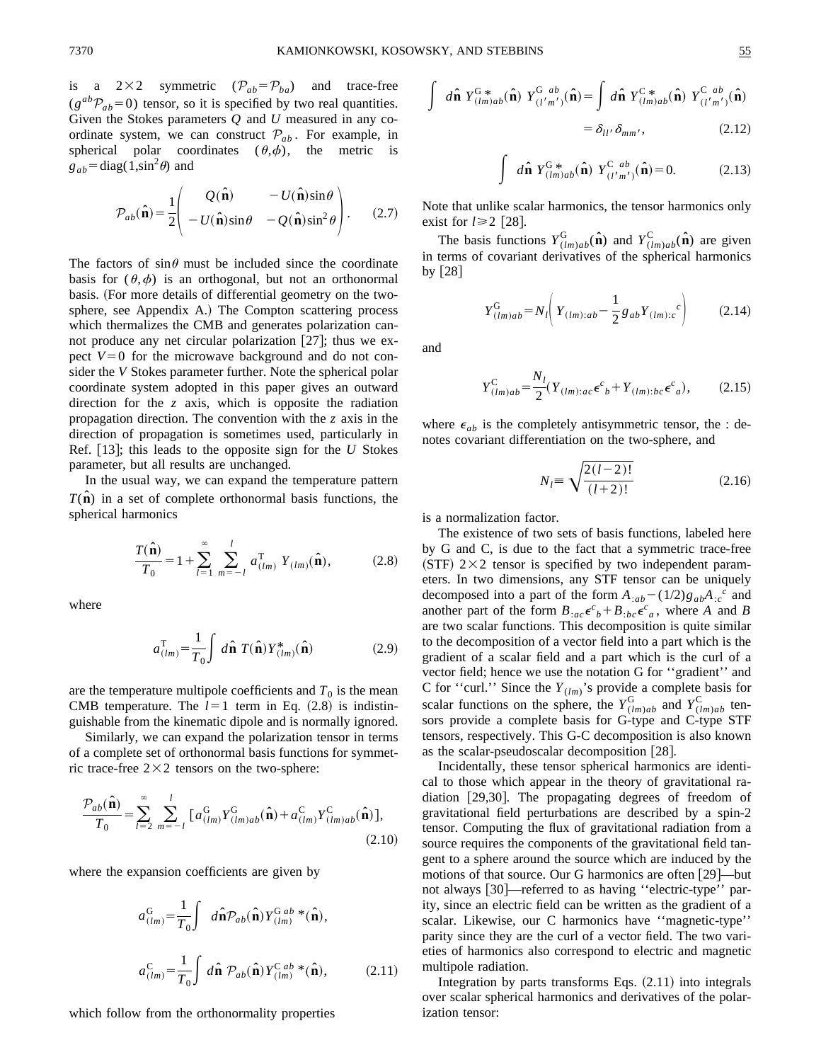is a 2×2 symmetric  $(\mathcal{P}_{ab} = \mathcal{P}_{ba})$  and trace-free  $(g^{ab}\mathcal{P}_{ab}=0)$  tensor, so it is specified by two real quantities. Given the Stokes parameters *Q* and *U* measured in any coordinate system, we can construct  $P_{ab}$ . For example, in spherical polar coordinates  $(\theta, \phi)$ , the metric is  $g_{ab} = \text{diag}(1, \sin^2 \theta)$  and

$$
\mathcal{P}_{ab}(\hat{\mathbf{n}}) = \frac{1}{2} \begin{pmatrix} Q(\hat{\mathbf{n}}) & -U(\hat{\mathbf{n}})\sin\theta \\ -U(\hat{\mathbf{n}})\sin\theta & -Q(\hat{\mathbf{n}})\sin^2\theta \end{pmatrix}.
$$
 (2.7)

The factors of  $\sin\theta$  must be included since the coordinate basis for  $(\theta, \phi)$  is an orthogonal, but not an orthonormal basis. (For more details of differential geometry on the twosphere, see Appendix A.) The Compton scattering process which thermalizes the CMB and generates polarization cannot produce any net circular polarization  $[27]$ ; thus we expect  $V=0$  for the microwave background and do not consider the *V* Stokes parameter further. Note the spherical polar coordinate system adopted in this paper gives an outward direction for the *z* axis, which is opposite the radiation propagation direction. The convention with the *z* axis in the direction of propagation is sometimes used, particularly in Ref.  $[13]$ ; this leads to the opposite sign for the *U* Stokes parameter, but all results are unchanged.

In the usual way, we can expand the temperature pattern  $T(\hat{\bf{n}})$  in a set of complete orthonormal basis functions, the spherical harmonics

$$
\frac{T(\hat{\mathbf{n}})}{T_0} = 1 + \sum_{l=1}^{\infty} \sum_{m=-l}^{l} a_{(lm)}^{\mathrm{T}} Y_{(lm)}(\hat{\mathbf{n}}),
$$
 (2.8)

where

$$
a_{(lm)}^{\mathrm{T}} = \frac{1}{T_0} \int d\hat{\mathbf{n}} \ T(\hat{\mathbf{n}}) Y_{(lm)}^*(\hat{\mathbf{n}})
$$
 (2.9)

are the temperature multipole coefficients and  $T_0$  is the mean CMB temperature. The  $l=1$  term in Eq.  $(2.8)$  is indistinguishable from the kinematic dipole and is normally ignored.

Similarly, we can expand the polarization tensor in terms of a complete set of orthonormal basis functions for symmetric trace-free  $2\times2$  tensors on the two-sphere:

$$
\frac{\mathcal{P}_{ab}(\hat{\mathbf{n}})}{T_0} = \sum_{l=2}^{\infty} \sum_{m=-l}^{l} \left[ a_{(lm)}^{\text{G}} Y_{(lm)ab}^{\text{G}}(\hat{\mathbf{n}}) + a_{(lm)}^{\text{C}} Y_{(lm)ab}^{\text{C}}(\hat{\mathbf{n}}) \right],
$$
\n(2.10)

where the expansion coefficients are given by

$$
a_{(lm)}^{\text{G}} = \frac{1}{T_0} \int d\hat{\mathbf{n}} \mathcal{P}_{ab}(\hat{\mathbf{n}}) Y_{(lm)}^{\text{G }ab} * (\hat{\mathbf{n}}),
$$
  

$$
a_{(lm)}^{\text{C}} = \frac{1}{T_0} \int d\hat{\mathbf{n}} \mathcal{P}_{ab}(\hat{\mathbf{n}}) Y_{(lm)}^{\text{C }ab} * (\hat{\mathbf{n}}),
$$
 (2.11)

which follow from the orthonormality properties

$$
\int d\hat{\mathbf{n}} Y^{\mathrm{G}_{*}}_{(lm)ab}(\hat{\mathbf{n}}) Y^{\mathrm{G}_{ilm}}_{(l'm')}(\hat{\mathbf{n}}) = \int d\hat{\mathbf{n}} Y^{\mathrm{C}_{*}}_{(lm)ab}(\hat{\mathbf{n}}) Y^{\mathrm{C}_{ilm'}}_{(l'm')}(\hat{\mathbf{n}})
$$

$$
= \delta_{ll'} \delta_{mm'}, \qquad (2.12)
$$

$$
\int d\hat{\mathbf{n}} Y_{(lm)ab}^{G*}(\hat{\mathbf{n}}) Y_{(l'm')}^{C}(\hat{\mathbf{n}}) = 0.
$$
 (2.13)

Note that unlike scalar harmonics, the tensor harmonics only exist for  $l \geq 2$  [28].

The basis functions  $Y^{\text{G}}_{(lm)ab}(\hat{\textbf{n}})$  and  $Y^{\text{C}}_{(lm)ab}(\hat{\textbf{n}})$  are given in terms of covariant derivatives of the spherical harmonics by  $[28]$ 

$$
Y_{(lm)ab}^{\text{G}} = N_l \left( Y_{(lm):ab} - \frac{1}{2} g_{ab} Y_{(lm):c}{}^c \right) \tag{2.14}
$$

and

$$
Y_{(lm)ab}^{\text{C}} = \frac{N_l}{2} (Y_{(lm):ac} \epsilon^c{}_b + Y_{(lm):bc} \epsilon^c{}_a), \tag{2.15}
$$

where  $\epsilon_{ab}$  is the completely antisymmetric tensor, the : denotes covariant differentiation on the two-sphere, and

$$
N_l \equiv \sqrt{\frac{2(l-2)!}{(l+2)!}}\tag{2.16}
$$

is a normalization factor.

The existence of two sets of basis functions, labeled here by G and C, is due to the fact that a symmetric trace-free  $(STF)$  2×2 tensor is specified by two independent parameters. In two dimensions, any STF tensor can be uniquely decomposed into a part of the form  $A_{:ab}$  –  $(1/2)g_{ab}A_{:c}$ <sup>c</sup> and another part of the form  $B_{\mu ac} \epsilon^c{}_b + B_{\mu bc} \epsilon^c{}_a$ , where *A* and *B* are two scalar functions. This decomposition is quite similar to the decomposition of a vector field into a part which is the gradient of a scalar field and a part which is the curl of a vector field; hence we use the notation G for ''gradient'' and C for "curl." Since the  $Y_{(lm)}$ 's provide a complete basis for scalar functions on the sphere, the  $Y^{\text{G}}_{(lm)ab}$  and  $Y^{\text{C}}_{(lm)ab}$  tensors provide a complete basis for G-type and C-type STF tensors, respectively. This G-C decomposition is also known as the scalar-pseudoscalar decomposition  $[28]$ .

Incidentally, these tensor spherical harmonics are identical to those which appear in the theory of gravitational radiation  $[29,30]$ . The propagating degrees of freedom of gravitational field perturbations are described by a spin-2 tensor. Computing the flux of gravitational radiation from a source requires the components of the gravitational field tangent to a sphere around the source which are induced by the motions of that source. Our G harmonics are often  $|29|$ —but not always [30]—referred to as having "electric-type" parity, since an electric field can be written as the gradient of a scalar. Likewise, our C harmonics have ''magnetic-type'' parity since they are the curl of a vector field. The two varieties of harmonics also correspond to electric and magnetic multipole radiation.

Integration by parts transforms Eqs.  $(2.11)$  into integrals over scalar spherical harmonics and derivatives of the polarization tensor: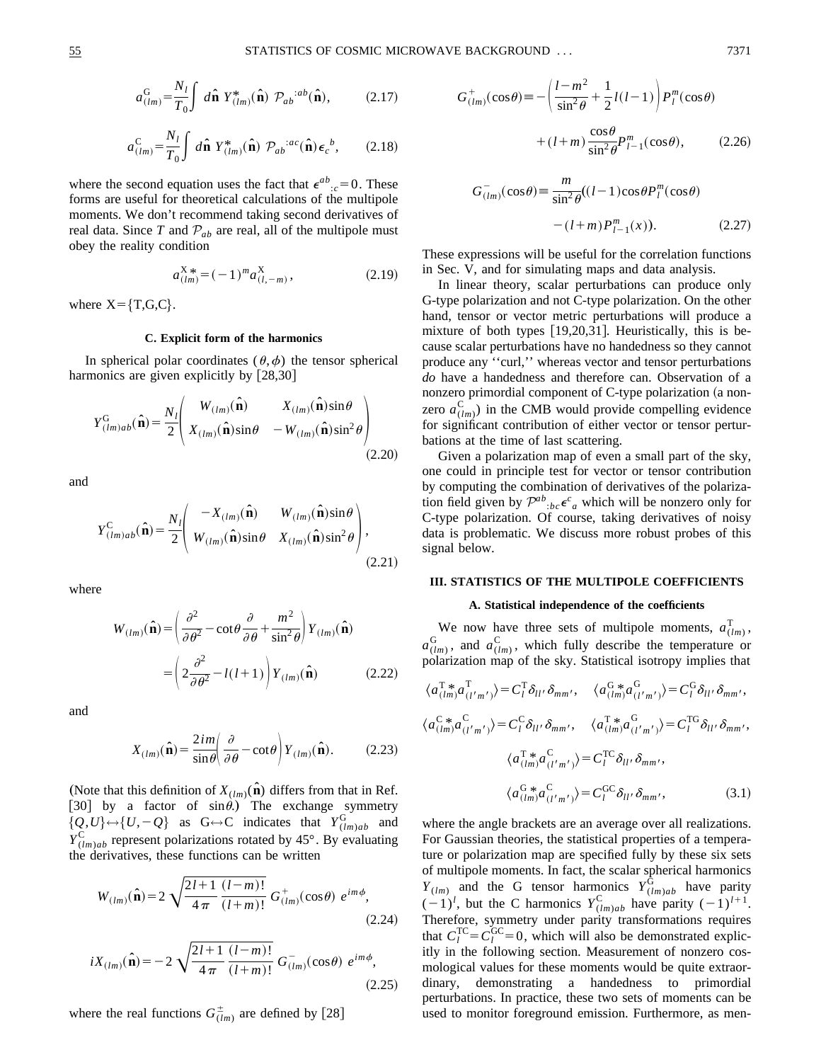$$
a_{(lm)}^{\mathbf{G}} = \frac{N_l}{T_0} \int d\hat{\mathbf{n}} Y_{(lm)}^*(\hat{\mathbf{n}}) \mathcal{P}_{ab}^{;ab}(\hat{\mathbf{n}}), \qquad (2.17)
$$

$$
a_{(lm)}^{\rm C} = \frac{N_l}{T_0} \int d\hat{\mathbf{n}} \ Y^*_{(lm)}(\hat{\mathbf{n}}) \ \mathcal{P}_{ab}^{;ac}(\hat{\mathbf{n}}) \epsilon_c^{b}, \qquad (2.18)
$$

where the second equation uses the fact that  $\epsilon^{ab}_{c} = 0$ . These forms are useful for theoretical calculations of the multipole moments. We don't recommend taking second derivatives of real data. Since *T* and  $P_{ab}$  are real, all of the multipole must obey the reality condition

$$
a_{(lm)}^{X*} = (-1)^m a_{(l,-m)}^X,
$$
\n(2.19)

where  $X = \{T,G,C\}$ .

## **C. Explicit form of the harmonics**

In spherical polar coordinates  $(\theta, \phi)$  the tensor spherical harmonics are given explicitly by  $[28,30]$ 

$$
Y_{(lm)ab}^{\mathbf{G}}(\hat{\mathbf{n}}) = \frac{N_l}{2} \begin{pmatrix} W_{(lm)}(\hat{\mathbf{n}}) & X_{(lm)}(\hat{\mathbf{n}})\sin\theta \\ X_{(lm)}(\hat{\mathbf{n}})\sin\theta & -W_{(lm)}(\hat{\mathbf{n}})\sin^2\theta \end{pmatrix}
$$
(2.20)

and

$$
Y_{(lm)ab}^{\text{C}}(\hat{\mathbf{n}}) = \frac{N_l}{2} \begin{pmatrix} -X_{(lm)}(\hat{\mathbf{n}}) & W_{(lm)}(\hat{\mathbf{n}})\sin\theta \\ W_{(lm)}(\hat{\mathbf{n}})\sin\theta & X_{(lm)}(\hat{\mathbf{n}})\sin^2\theta \end{pmatrix},
$$
\n(2.21)

where

$$
W_{(lm)}(\hat{\mathbf{n}}) = \left(\frac{\partial^2}{\partial \theta^2} - \cot \theta \frac{\partial}{\partial \theta} + \frac{m^2}{\sin^2 \theta}\right) Y_{(lm)}(\hat{\mathbf{n}})
$$

$$
= \left(2\frac{\partial^2}{\partial \theta^2} - l(l+1)\right) Y_{(lm)}(\hat{\mathbf{n}}) \tag{2.22}
$$

and

$$
X_{(lm)}(\hat{\mathbf{n}}) = \frac{2im}{\sin\theta} \left(\frac{\partial}{\partial\theta} - \cot\theta\right) Y_{(lm)}(\hat{\mathbf{n}}). \tag{2.23}
$$

(Note that this definition of  $X_{(lm)}(\hat{\bf{n}})$  differs from that in Ref. [30] by a factor of  $sin \theta$ .) The exchange symmetry  ${Q, U} \leftrightarrow {U, -Q}$  as  $G \leftrightarrow C$  indicates that  $Y^G_{(lm)ab}$  and  $Y^{\text{C}}_{(lm)ab}$  represent polarizations rotated by 45°. By evaluating the derivatives, these functions can be written

$$
W_{(lm)}(\hat{\mathbf{n}}) = 2 \sqrt{\frac{2l+1}{4\pi} \frac{(l-m)!}{(l+m)!}} G^+_{(lm)}(\cos\theta) e^{im\phi},
$$
\n(2.24)

$$
iX_{(lm)}(\hat{\mathbf{n}}) = -2\sqrt{\frac{2l+1}{4\pi} \frac{(l-m)!}{(l+m)!}} G^{-}_{(lm)}(\cos\theta) e^{im\phi},
$$
\n(2.25)

where the real functions  $G^{\pm}_{(lm)}$  are defined by [28]

$$
G_{(lm)}^{+}(\cos\theta) \equiv -\left(\frac{l-m^2}{\sin^2\theta} + \frac{1}{2}l(l-1)\right)P_l^m(\cos\theta)
$$

$$
+ (l+m)\frac{\cos\theta}{\sin^2\theta}P_{l-1}^m(\cos\theta), \qquad (2.26)
$$

$$
G_{(lm)}^-(\cos\theta) \equiv \frac{m}{\sin^2\theta}((l-1)\cos\theta P_l^m(\cos\theta)
$$

$$
-(l+m)P_{l-1}^m(x)).
$$
 (2.27)

These expressions will be useful for the correlation functions in Sec. V, and for simulating maps and data analysis.

In linear theory, scalar perturbations can produce only G-type polarization and not C-type polarization. On the other hand, tensor or vector metric perturbations will produce a mixture of both types  $[19,20,31]$ . Heuristically, this is because scalar perturbations have no handedness so they cannot produce any ''curl,'' whereas vector and tensor perturbations *do* have a handedness and therefore can. Observation of a nonzero primordial component of C-type polarization (a nonzero  $a_{(lm)}^C$ ) in the CMB would provide compelling evidence for significant contribution of either vector or tensor perturbations at the time of last scattering.

Given a polarization map of even a small part of the sky, one could in principle test for vector or tensor contribution by computing the combination of derivatives of the polarization field given by  $\mathcal{P}^{ab}$ :*bc*<sup>c</sup><sub>a</sub> which will be nonzero only for C-type polarization. Of course, taking derivatives of noisy data is problematic. We discuss more robust probes of this signal below.

## **III. STATISTICS OF THE MULTIPOLE COEFFICIENTS**

## **A. Statistical independence of the coefficients**

We now have three sets of multipole moments,  $a_{(lm)}^{\mathrm{T}}$ ,  $a_{(lm)}^G$ , and  $a_{(lm)}^C$ , which fully describe the temperature or polarization map of the sky. Statistical isotropy implies that

$$
\langle a_{(lm)}^{\mathrm{T}*} a_{(l'm')}^{\mathrm{T}} \rangle = C_l^{\mathrm{T}} \delta_{ll'} \delta_{mm'}, \quad \langle a_{(lm)}^{\mathrm{G}*} a_{(l'm')}^{\mathrm{G}} \rangle = C_l^{\mathrm{G}} \delta_{ll'} \delta_{mm'},
$$
  

$$
\langle a_{(lm)}^{\mathrm{C}*} a_{(l'm')}^{\mathrm{C}} \rangle = C_l^{\mathrm{C}} \delta_{ll'} \delta_{mm'}, \quad \langle a_{(lm)}^{\mathrm{T}*} a_{(l'm')}^{\mathrm{G}} \rangle = C_l^{\mathrm{TG}} \delta_{ll'} \delta_{mm'},
$$
  

$$
\langle a_{(lm)}^{\mathrm{T}*} a_{(l'm')}^{\mathrm{C}} \rangle = C_l^{\mathrm{TC}} \delta_{ll'} \delta_{mm'},
$$
  

$$
\langle a_{(lm)}^{\mathrm{G}*} a_{(l'm')}^{\mathrm{C}} \rangle = C_l^{\mathrm{GC}} \delta_{ll'} \delta_{mm'},
$$
  

$$
\langle a_{(lm)}^{\mathrm{G}*} a_{(l'm')}^{\mathrm{C}} \rangle = C_l^{\mathrm{GC}} \delta_{ll'} \delta_{mm'},
$$
  
(3.1)

where the angle brackets are an average over all realizations. For Gaussian theories, the statistical properties of a temperature or polarization map are specified fully by these six sets of multipole moments. In fact, the scalar spherical harmonics  $Y_{(lm)}$  and the G tensor harmonics  $Y_{(lm)ab}^G$  have parity  $(-1)^l$ , but the C harmonics  $Y^C_{(lm)ab}$  have parity  $(-1)^{l+1}$ . Therefore, symmetry under parity transformations requires that  $C_l^{\text{TC}} = C_l^{\text{GC}} = 0$ , which will also be demonstrated explicitly in the following section. Measurement of nonzero cosmological values for these moments would be quite extraordinary, demonstrating a handedness to primordial perturbations. In practice, these two sets of moments can be used to monitor foreground emission. Furthermore, as men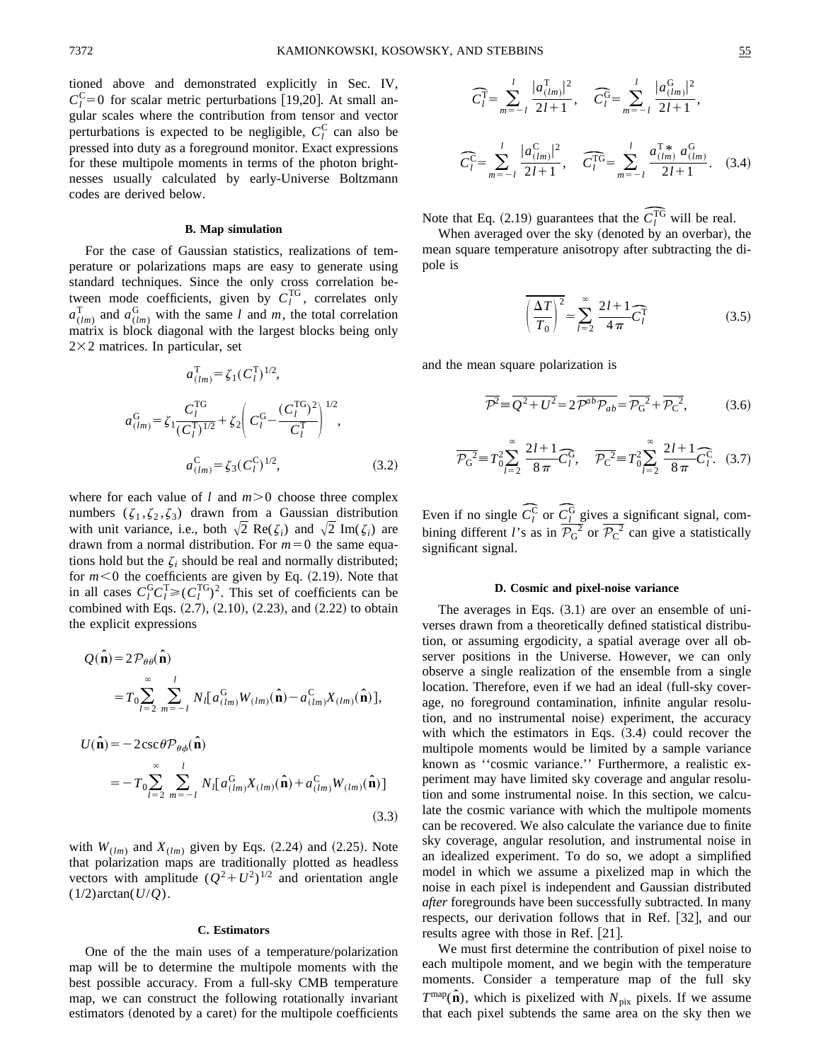tioned above and demonstrated explicitly in Sec. IV,  $C_l^C = 0$  for scalar metric perturbations [19,20]. At small angular scales where the contribution from tensor and vector perturbations is expected to be negligible,  $C_l^C$  can also be pressed into duty as a foreground monitor. Exact expressions for these multipole moments in terms of the photon brightnesses usually calculated by early-Universe Boltzmann codes are derived below.

### **B. Map simulation**

For the case of Gaussian statistics, realizations of temperature or polarizations maps are easy to generate using standard techniques. Since the only cross correlation between mode coefficients, given by  $C_l^{\text{TG}}$ , correlates only  $a_{(lm)}^{\text{T}}$  and  $a_{(lm)}^{\text{G}}$  with the same *l* and *m*, the total correlation matrix is block diagonal with the largest blocks being only  $2\times2$  matrices. In particular, set

$$
a_{(lm)}^{\text{T}} = \zeta_1 (C_l^{\text{T}})^{1/2},
$$
  
\n
$$
a_{(lm)}^{\text{G}} = \zeta_1 \frac{C_l^{\text{TG}}}{(C_l^{\text{T}})^{1/2}} + \zeta_2 \left( C_l^{\text{G}} - \frac{(C_l^{\text{TG}})^2}{C_l^{\text{T}}} \right)^{1/2},
$$
  
\n
$$
a_{(lm)}^{\text{C}} = \zeta_3 (C_l^{\text{C}})^{1/2},
$$
\n(3.2)

where for each value of *l* and  $m > 0$  choose three complex numbers  $(\zeta_1, \zeta_2, \zeta_3)$  drawn from a Gaussian distribution with unit variance, i.e., both  $\sqrt{2}$  Re( $\zeta_i$ ) and  $\sqrt{2}$  Im( $\zeta_i$ ) are drawn from a normal distribution. For  $m=0$  the same equations hold but the  $\zeta_i$  should be real and normally distributed; for  $m < 0$  the coefficients are given by Eq.  $(2.19)$ . Note that in all cases  $C_l^G C_l^T \geq (C_l^T)^2$ . This set of coefficients can be combined with Eqs.  $(2.7)$ ,  $(2.10)$ ,  $(2.23)$ , and  $(2.22)$  to obtain the explicit expressions

$$
Q(\hat{\mathbf{n}}) = 2\mathcal{P}_{\theta\theta}(\hat{\mathbf{n}})
$$
  
=  $T_0 \sum_{l=2}^{\infty} \sum_{m=-l}^{l} N_l [a_{(lm)}^G W_{(lm)}(\hat{\mathbf{n}}) - a_{(lm)}^C X_{(lm)}(\hat{\mathbf{n}})],$   
 $U(\hat{\mathbf{n}}) = -2 \cos(\theta \mathbf{P} - \hat{\mathbf{n}}).$ 

$$
U(\mathbf{n}) = -2\csc \theta P_{\theta\phi}(\mathbf{n})
$$
  
= 
$$
-T_0 \sum_{l=2}^{\infty} \sum_{m=-l}^{l} N_l [a_{(lm)}^{\text{G}} X_{(lm)}(\hat{\mathbf{n}}) + a_{(lm)}^{\text{C}} W_{(lm)}(\hat{\mathbf{n}})]
$$
(3.3)

with  $W_{(lm)}$  and  $X_{(lm)}$  given by Eqs. (2.24) and (2.25). Note that polarization maps are traditionally plotted as headless vectors with amplitude  $(Q^2 + U^2)^{1/2}$  and orientation angle (1/2)arctan(*U*/*Q*).

#### **C. Estimators**

One of the the main uses of a temperature/polarization map will be to determine the multipole moments with the best possible accuracy. From a full-sky CMB temperature map, we can construct the following rotationally invariant estimators (denoted by a caret) for the multipole coefficients

$$
\widehat{C}_{l}^{\mathrm{T}} = \sum_{m=-l}^{l} \frac{|a_{(lm)}^{\mathrm{T}}|^{2}}{2l+1}, \quad \widehat{C}_{l}^{\mathrm{G}} = \sum_{m=-l}^{l} \frac{|a_{(lm)}^{\mathrm{G}}|^{2}}{2l+1},
$$

$$
\widehat{C}_{l}^{\mathrm{C}} = \sum_{m=-l}^{l} \frac{|a_{(lm)}^{\mathrm{C}}|^{2}}{2l+1}, \quad \widehat{C}_{l}^{\mathrm{TG}} = \sum_{m=-l}^{l} \frac{a_{(lm)}^{\mathrm{T}*} \ a_{(lm)}^{\mathrm{G}}} {2l+1}.
$$
(3.4)

 $C_l - \sum_{m=-l}^{\infty} \frac{2l+1}{2l+1}$ ,  $C_l - \sum_{m=-l}^{\infty} \frac{2l+1}{2l+1}$ . (5)<br>Note that Eq. (2.19) guarantees that the  $\widehat{C}_l^{\text{TG}}$  will be real.

When averaged over the sky (denoted by an overbar), the mean square temperature anisotropy after subtracting the dipole is

$$
\overline{\left(\frac{\Delta T}{T_0}\right)^2} = \sum_{l=2}^{\infty} \frac{2l+1}{4\pi} \widehat{C}_l^{\mathrm{T}}
$$
 (3.5)

and the mean square polarization is

$$
\overline{\mathcal{P}^2} = \overline{\mathcal{Q}^2 + U^2} = 2\overline{\mathcal{P}^{ab}\mathcal{P}_{ab}} = \overline{\mathcal{P}_G^2} + \overline{\mathcal{P}_C^2},\tag{3.6}
$$

$$
\overline{P_G}^2 \equiv T_0^2 \sum_{l=2}^{\infty} \frac{2l+1}{8\pi} \widehat{C}_l^G, \quad \overline{P_C}^2 \equiv T_0^2 \sum_{l=2}^{\infty} \frac{2l+1}{8\pi} \widehat{C}_l^G. \quad (3.7)
$$

Even if no single  $\widehat{C_l^C}$  or  $\widehat{C_l^G}$  gives a significant signal, combining different *l*'s as in  $\overline{\mathcal{P}_G}^2$  or  $\overline{\mathcal{P}_C}^2$  can give a statistically significant signal.

## **D. Cosmic and pixel-noise variance**

The averages in Eqs.  $(3.1)$  are over an ensemble of universes drawn from a theoretically defined statistical distribution, or assuming ergodicity, a spatial average over all observer positions in the Universe. However, we can only observe a single realization of the ensemble from a single location. Therefore, even if we had an ideal (full-sky coverage, no foreground contamination, infinite angular resolution, and no instrumental noise) experiment, the accuracy with which the estimators in Eqs.  $(3.4)$  could recover the multipole moments would be limited by a sample variance known as ''cosmic variance.'' Furthermore, a realistic experiment may have limited sky coverage and angular resolution and some instrumental noise. In this section, we calculate the cosmic variance with which the multipole moments can be recovered. We also calculate the variance due to finite sky coverage, angular resolution, and instrumental noise in an idealized experiment. To do so, we adopt a simplified model in which we assume a pixelized map in which the noise in each pixel is independent and Gaussian distributed *after* foregrounds have been successfully subtracted. In many respects, our derivation follows that in Ref. [32], and our results agree with those in Ref. [21].

We must first determine the contribution of pixel noise to each multipole moment, and we begin with the temperature moments. Consider a temperature map of the full sky  $T^{\text{map}}(\hat{\mathbf{n}})$ , which is pixelized with  $N_{\text{pix}}$  pixels. If we assume that each pixel subtends the same area on the sky then we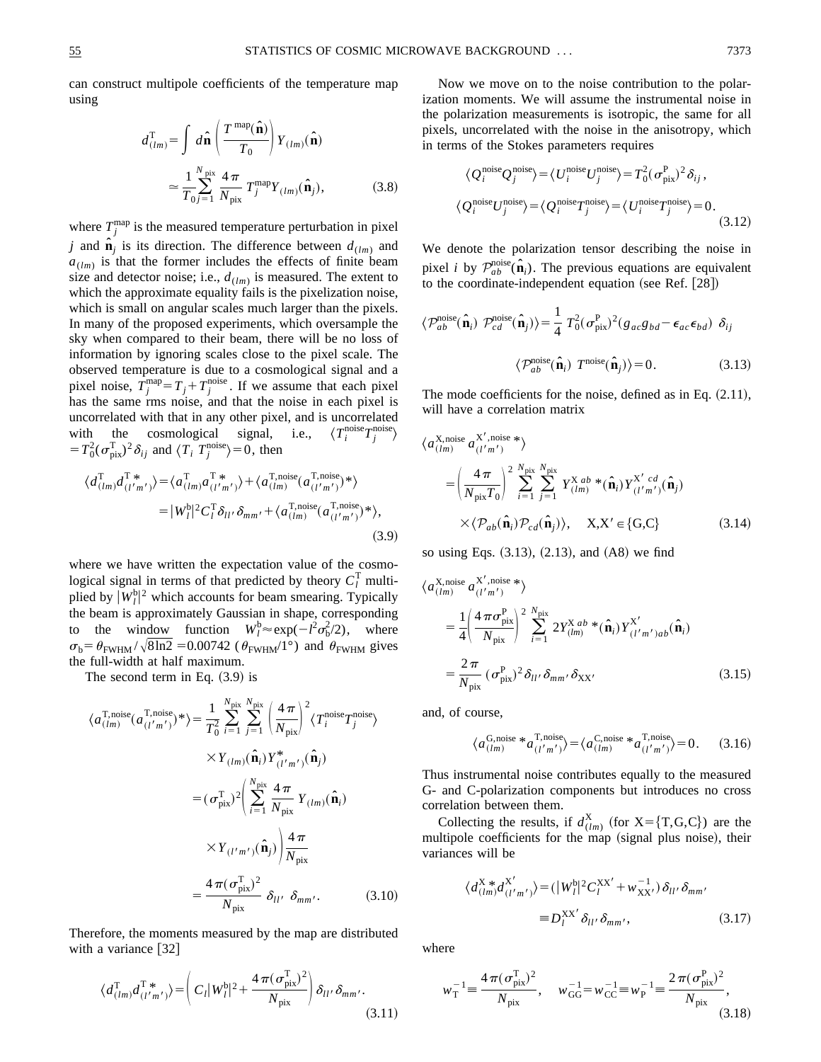can construct multipole coefficients of the temperature map using

$$
d_{(lm)}^{\mathrm{T}} = \int d\hat{\mathbf{n}} \left( \frac{T^{\mathrm{map}}(\hat{\mathbf{n}})}{T_0} \right) Y_{(lm)}(\hat{\mathbf{n}})
$$

$$
\approx \frac{1}{T_0} \sum_{j=1}^{N_{\mathrm{pix}}} \frac{4\pi}{N_{\mathrm{pix}}} T_j^{\mathrm{map}} Y_{(lm)}(\hat{\mathbf{n}}_j), \tag{3.8}
$$

where  $T_j^{\text{map}}$  is the measured temperature perturbation in pixel *j* and  $\hat{\mathbf{n}}_i$  is its direction. The difference between  $d_{(lm)}$  and  $a_{(lm)}$  is that the former includes the effects of finite beam size and detector noise; i.e.,  $d_{(lm)}$  is measured. The extent to which the approximate equality fails is the pixelization noise, which is small on angular scales much larger than the pixels. In many of the proposed experiments, which oversample the sky when compared to their beam, there will be no loss of information by ignoring scales close to the pixel scale. The observed temperature is due to a cosmological signal and a pixel noise,  $T_j^{\text{map}} = T_j + T_j^{\text{noise}}$ . If we assume that each pixel has the same rms noise, and that the noise in each pixel is uncorrelated with that in any other pixel, and is uncorrelated with the cosmological signal, i.e.,  $\langle T_i^{\text{noise}} T_j^{\text{noise}} \rangle$  $=T_0^2(\sigma_{pix}^T)^2 \delta_{ij}$  and  $\langle T_i T_j^{\text{noise}} \rangle = 0$ , then

$$
\langle d_{(lm)}^{\mathrm{T}} d_{(l'm')}^{\mathrm{T}*} \rangle = \langle a_{(lm)}^{\mathrm{T}} a_{(l'm')}^{\mathrm{T}*} \rangle + \langle a_{(lm)}^{\mathrm{T}, \text{noise}} (a_{(l'm')}^{\mathrm{T}, \text{noise}}) \rangle
$$
  
=  $|W_l^{\mathrm{b}}|^2 C_l^{\mathrm{T}} \delta_{ll'} \delta_{mm'} + \langle a_{(lm)}^{\mathrm{T}, \text{noise}} (a_{(l'm')}^{\mathrm{T}, \text{noise}}) \rangle,$  (3.9)

where we have written the expectation value of the cosmological signal in terms of that predicted by theory  $C_l^T$  multiplied by  $|W_l^b|^2$  which accounts for beam smearing. Typically the beam is approximately Gaussian in shape, corresponding to the window function  $W_l^b \approx \exp(-l^2 \sigma_b^2/2)$ , where  $\sigma_b = \theta_{FWHM} / \sqrt{8 \ln 2} = 0.00742$  ( $\theta_{FWHM} / 1^\circ$ ) and  $\theta_{FWHM}$  gives the full-width at half maximum.

The second term in Eq.  $(3.9)$  is

$$
\langle a_{(lm)}^{\text{T,noise}}(a_{(l'm')}^{\text{T,noise}})^* \rangle = \frac{1}{T_0^2} \sum_{i=1}^{N_{\text{pix}}} \sum_{j=1}^{N_{\text{pix}}} \left( \frac{4\pi}{N_{\text{pix}}} \right)^2 \langle T_i^{\text{noise}} T_j^{\text{noise}} \rangle
$$
  

$$
\times Y_{(lm)}(\hat{\mathbf{n}}_i) Y_{(l'm')}^* (\hat{\mathbf{n}}_j)
$$
  

$$
= (\sigma_{\text{pix}}^{\text{T}})^2 \left( \sum_{i=1}^{N_{\text{pix}}} \frac{4\pi}{N_{\text{pix}}} Y_{(lm)}(\hat{\mathbf{n}}_i)
$$
  

$$
\times Y_{(l'm')}(\hat{\mathbf{n}}_j) \right) \frac{4\pi}{N_{\text{pix}}}
$$
  

$$
= \frac{4\pi (\sigma_{\text{pix}}^{\text{T}})^2}{N_{\text{pix}}} \delta_{ll'} \delta_{mm'}.
$$
 (3.10)

Therefore, the moments measured by the map are distributed with a variance  $[32]$ 

$$
\langle d_{(lm)}^{\mathrm{T}} d_{(l'm')}^{\mathrm{T} *} \rangle = \left( C_l |W_l^{\mathrm{b}}|^2 + \frac{4 \pi (\sigma_{\mathrm{pix}}^{\mathrm{T}})^2}{N_{\mathrm{pix}}} \right) \delta_{ll'} \delta_{mm'}.
$$
\n(3.11)

Now we move on to the noise contribution to the polarization moments. We will assume the instrumental noise in the polarization measurements is isotropic, the same for all pixels, uncorrelated with the noise in the anisotropy, which in terms of the Stokes parameters requires

$$
\langle Q_i^{\text{noise}} Q_j^{\text{noise}} \rangle = \langle U_i^{\text{noise}} U_j^{\text{noise}} \rangle = T_0^2 (\sigma_{\text{pix}}^{\text{P}})^2 \delta_{ij},
$$
  

$$
\langle Q_i^{\text{noise}} U_j^{\text{noise}} \rangle = \langle Q_i^{\text{noise}} T_j^{\text{noise}} \rangle = \langle U_i^{\text{noise}} T_j^{\text{noise}} \rangle = 0.
$$
  
(3.12)

We denote the polarization tensor describing the noise in pixel *i* by  $\mathcal{P}_{ab}^{\text{noise}}(\hat{\mathbf{n}}_i)$ . The previous equations are equivalent to the coordinate-independent equation (see Ref.  $[28]$ )

$$
\langle \mathcal{P}_{ab}^{\text{noise}}(\hat{\mathbf{n}}_i) \ \mathcal{P}_{cd}^{\text{noise}}(\hat{\mathbf{n}}_j) \rangle = \frac{1}{4} T_0^2 (\sigma_{\text{pix}}^{\text{P}})^2 (g_{ac}g_{bd} - \epsilon_{ac} \epsilon_{bd}) \ \delta_{ij}
$$

$$
\langle \mathcal{P}_{ab}^{\text{noise}}(\hat{\mathbf{n}}_i) \ T^{\text{noise}}(\hat{\mathbf{n}}_j) \rangle = 0. \tag{3.13}
$$

The mode coefficients for the noise, defined as in Eq.  $(2.11)$ , will have a correlation matrix

$$
\langle a_{(lm)}^{X, \text{noise}} a_{(l'm')}^{X', \text{noise}} \rangle
$$
  
= 
$$
\left( \frac{4\pi}{N_{\text{pix}} T_0} \right)^2 \sum_{i=1}^{N_{\text{pix}}} \sum_{j=1}^{N_{\text{pix}}} Y_{(lm)}^{X} * (\hat{\mathbf{n}}_i) Y_{(l'm')}^{X'} c_d^d (\hat{\mathbf{n}}_j)
$$
  

$$
\times \langle \mathcal{P}_{ab}(\hat{\mathbf{n}}_i) \mathcal{P}_{cd}(\hat{\mathbf{n}}_j) \rangle, \quad X, X' \in \{G, C\}
$$
(3.14)

so using Eqs.  $(3.13)$ ,  $(2.13)$ , and  $(A8)$  we find

$$
\langle a_{(lm)}^{X,\text{noise}} a_{(l'm')}^{X',\text{noise}} \rangle
$$
  
= 
$$
\frac{1}{4} \left( \frac{4 \pi \sigma_{\text{pix}}^P}{N_{\text{pix}}} \right)^2 \sum_{i=1}^{N_{\text{pix}}} 2Y_{(lm)}^{X ab} * (\hat{\mathbf{n}}_i) Y_{(l'm')ab}^{X'} (\hat{\mathbf{n}}_i)
$$
  
= 
$$
\frac{2 \pi}{N_{\text{pix}}} (\sigma_{\text{pix}}^P)^2 \delta_{ll'} \delta_{mm'} \delta_{XX'}
$$
(3.15)

and, of course,

$$
\langle a_{(lm)}^{\text{G,noise}} * a_{(l'm')}^{\text{T,noise}} \rangle = \langle a_{(lm)}^{\text{C,noise}} * a_{(l'm')}^{\text{T,noise}} \rangle = 0. \tag{3.16}
$$

Thus instrumental noise contributes equally to the measured G- and C-polarization components but introduces no cross correlation between them.

Collecting the results, if  $d_{(lm)}^X$  (for  $X = \{T, G, C\}$ ) are the multipole coefficients for the map (signal plus noise), their variances will be

$$
\langle d_{(lm)}^{X} d_{(l'm')}^{X'} \rangle = (|W_l^b|^2 C_l^{XX'} + w_{XX'}^{-1}) \delta_{ll'} \delta_{mm'}
$$
  

$$
\equiv D_l^{XX'} \delta_{ll'} \delta_{mm'}, \qquad (3.17)
$$

where

$$
w_{\rm T}^{-1} \equiv \frac{4\,\pi (\sigma_{\rm pix}^{\rm T})^2}{N_{\rm pix}}, \quad w_{\rm GG}^{-1} = w_{\rm CC}^{-1} \equiv w_{\rm P}^{-1} \equiv \frac{2\,\pi (\sigma_{\rm pix}^{\rm P})^2}{N_{\rm pix}},
$$
\n(3.18)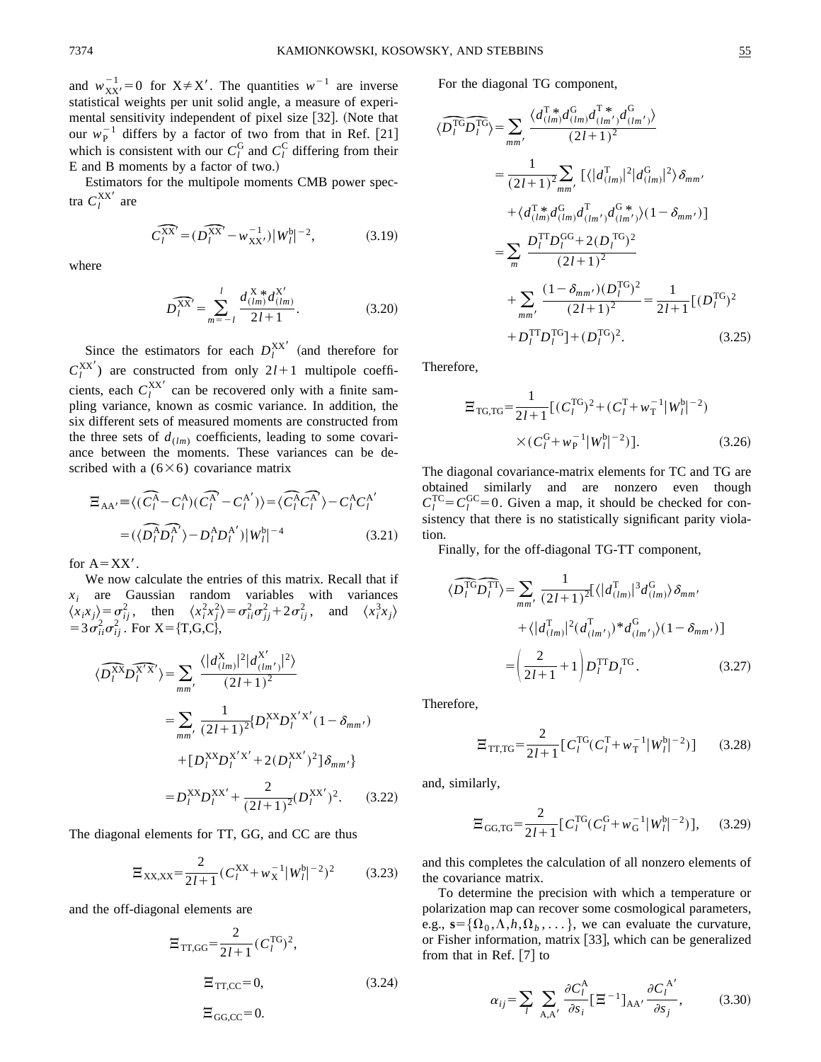Estimators for the multipole moments CMB power spec-<br>  $C_l^{XX'}$  are<br>  $\overline{C_l^{XX'}} = (\overline{D_l^{XX'}} - w_{XX'}^{-1}) |W_l^b|^{-2}$ , (3.19) tra  $C_l^{XX'}$  are

$$
\widehat{C_l^{XX'}} = (\widehat{D_l^{XX'}} - w_{XX'}^{-1}) |W_l^{b}|^{-2}, \tag{3.19}
$$

where

$$
D_l^{\widehat{XX}'} = \sum_{m=-l}^{l} \frac{d_{(lm)}^{X *} d_{(lm)}^{X'}}{2l+1}.
$$
 (3.20)

Since the estimators for each  $D_l^{XX'}$  (and therefore for  $C_l^{\text{XX'}}$ ) are constructed from only  $2l+1$  multipole coefficients, each  $C_l^{XX'}$  can be recovered only with a finite sampling variance, known as cosmic variance. In addition, the six different sets of measured moments are constructed from the three sets of  $d_{(lm)}$  coefficients, leading to some covariance between the moments. These variances can be de-

scribed with a (6×6) covariance matrix  
\n
$$
\Xi_{AA'} \equiv \langle (\widehat{C_l^A} - C_l^A)(\widehat{C_l^A} - C_l^{A'}) \rangle = \langle \widehat{C_l^A} \widehat{C_l^A} \rangle - C_l^A C_l^{A'}
$$
\n
$$
= (\langle \widehat{D_l^A} \widehat{D_l^A} \rangle - D_l^A D_l^{A'} ) |W_l^b|^{-4}
$$
\n(3.21)

for  $A=XX'$ .

We now calculate the entries of this matrix. Recall that if *xi* are Gaussian random variables with variances  $\langle x_i x_j \rangle = \sigma_{ij}^2$ , then  $\langle x_i^2 x_j^2 \rangle = \sigma_{ii}^2 \sigma_{jj}^2 + 2 \sigma_{ij}^2$ , and  $\langle x_i^3 x_j \rangle$ 

$$
\langle x_{i}x_{j}\rangle = \sigma_{ij}^{2}, \text{ then } \langle x_{i}^{2}x_{j}^{2}\rangle = \sigma_{ii}^{2}\sigma_{jj}^{2} + 2\sigma_{ij}^{2}, \text{ and } \langle x_{i}^{2}x_{j}\rangle
$$
  
\n
$$
= 3\sigma_{ii}^{2}\sigma_{ij}^{2}. \text{ For } X = \{\text{T},\text{G},\text{C}\},
$$
  
\n
$$
\langle D_{l}^{XX}D_{l}^{XX'}\rangle = \sum_{mm'} \frac{\langle |d_{l,m}^{X}|^{2}|d_{l,m'}^{X'}|^{2}\rangle}{(2l+1)^{2}}
$$
  
\n
$$
= \sum_{mm'} \frac{1}{(2l+1)^{2}}\{D_{l}^{XX}D_{l}^{X'X'}(1-\delta_{mm'})
$$
  
\n
$$
+ [D_{l}^{XX}D_{l}^{X'X'} + 2(D_{l}^{XX'})^{2}] \delta_{mm'}\}
$$
  
\n
$$
= D_{l}^{XX}D_{l}^{XX'} + \frac{2}{(2l+1)^{2}}(D_{l}^{XX'})^{2}. \quad (3.22)
$$

The diagonal elements for TT, GG, and CC are thus

$$
\Xi_{\text{XX},\text{XX}} = \frac{2}{2l+1} (C_l^{\text{XX}} + w_X^{-1} |W_l^{\text{b}}|^{-2})^2 \tag{3.23}
$$

and the off-diagonal elements are

$$
\Xi_{\text{TT,GG}} = \frac{2}{2l+1} (C_l^{\text{TG}})^2,
$$
  
\n
$$
\Xi_{\text{TT,CC}} = 0,
$$
 (3.24)  
\n
$$
\Xi_{\text{GG,CC}} = 0.
$$

For the diagonal TG component,  
\n
$$
\langle \widehat{D_l^{\text{TG}}} \widehat{D_l^{\text{TG}}} \rangle = \sum_{mm'} \frac{\langle d_{(lm)}^{\text{T}} d_{(lm)}^{\text{G}} d_{(lm')}^{\text{T}} d_{(lm')}^{\text{G}} \rangle}{(2l+1)^2}
$$
\n
$$
= \frac{1}{(2l+1)^2} \sum_{mm'} \left[ \langle |d_{(lm)}^{\text{T}}|^2 | d_{(lm)}^{\text{G}} |^2 \rangle \delta_{mm'} + \langle d_{(lm)}^{\text{T}} d_{(lm)}^{\text{G}} d_{(lm')}^{\text{T}} d_{(lm')}^{\text{G} *} \rangle (1 - \delta_{mm'}) \right]
$$
\n
$$
= \sum_m \frac{D_l^{\text{TT}} D_l^{\text{GG}} + 2(D_l^{\text{TG}})^2}{(2l+1)^2}
$$
\n
$$
+ \sum_{mm'} \frac{(1 - \delta_{mm'}) (D_l^{\text{TG}})^2}{(2l+1)^2} = \frac{1}{2l+1} \left[ (D_l^{\text{TG}})^2 + D_l^{\text{TT}} D_l^{\text{TG}} \right] + (D_l^{\text{TG}})^2. \tag{3.25}
$$

Therefore,

$$
\Xi_{\text{TG,TG}} = \frac{1}{2l+1} [(C_l^{\text{TG}})^2 + (C_l^{\text{T}} + w_\text{T}^{-1} |W_l^{\text{b}}|^{-2})
$$
  
×  $(C_l^{\text{G}} + w_\text{P}^{-1} |W_l^{\text{b}}|^{-2})$ ]. (3.26)

The diagonal covariance-matrix elements for TC and TG are obtained similarly and are nonzero even though  $C_l^{\text{TC}} = C_l^{\text{GC}} = 0$ . Given a map, it should be checked for consistency that there is no statistically significant parity violation.

n.  
\nFinally, for the off-diagonal TG-TT component,  
\n
$$
\langle \widehat{D_l^{TG}} \widehat{D_l^{TT}} \rangle = \sum_{mm'} \frac{1}{(2l+1)^2} [\langle |d_{(lm)}^T|^3 d_{(lm)}^G \rangle \delta_{mm'}
$$
\n
$$
+ \langle |d_{(lm)}^T|^2 (d_{(lm')}^T)^* d_{(lm')}^G \rangle (1 - \delta_{mm'})]
$$
\n
$$
= \left(\frac{2}{2l+1} + 1\right) D_l^{TT} D_l^{TG}. \qquad (3.27)
$$

Therefore,

$$
\Xi_{\text{TT,TG}} = \frac{2}{2l+1} \left[ C_l^{\text{TG}} (C_l^{\text{T}} + w_\text{T}^{-1} |W_l^{\text{b}}|^{-2}) \right] \tag{3.28}
$$

and, similarly,

$$
\Xi_{GG, TG} = \frac{2}{2l+1} \left[ C_l^{TG} (C_l^G + w_G^{-1} |W_l^b|^{-2}) \right], \quad (3.29)
$$

and this completes the calculation of all nonzero elements of the covariance matrix.

To determine the precision with which a temperature or polarization map can recover some cosmological parameters, e.g.,  $\mathbf{s} = {\Omega_0, \Lambda, h, \Omega_b, \ldots}$ , we can evaluate the curvature, or Fisher information, matrix [33], which can be generalized from that in Ref.  $[7]$  to

$$
\alpha_{ij} = \sum_{l} \sum_{\mathbf{A}, \mathbf{A}'} \frac{\partial C_l^{\mathbf{A}}}{\partial s_i} [\Xi^{-1}]_{\mathbf{A}\mathbf{A}'} \frac{\partial C_l^{\mathbf{A}'}}{\partial s_j}, \tag{3.30}
$$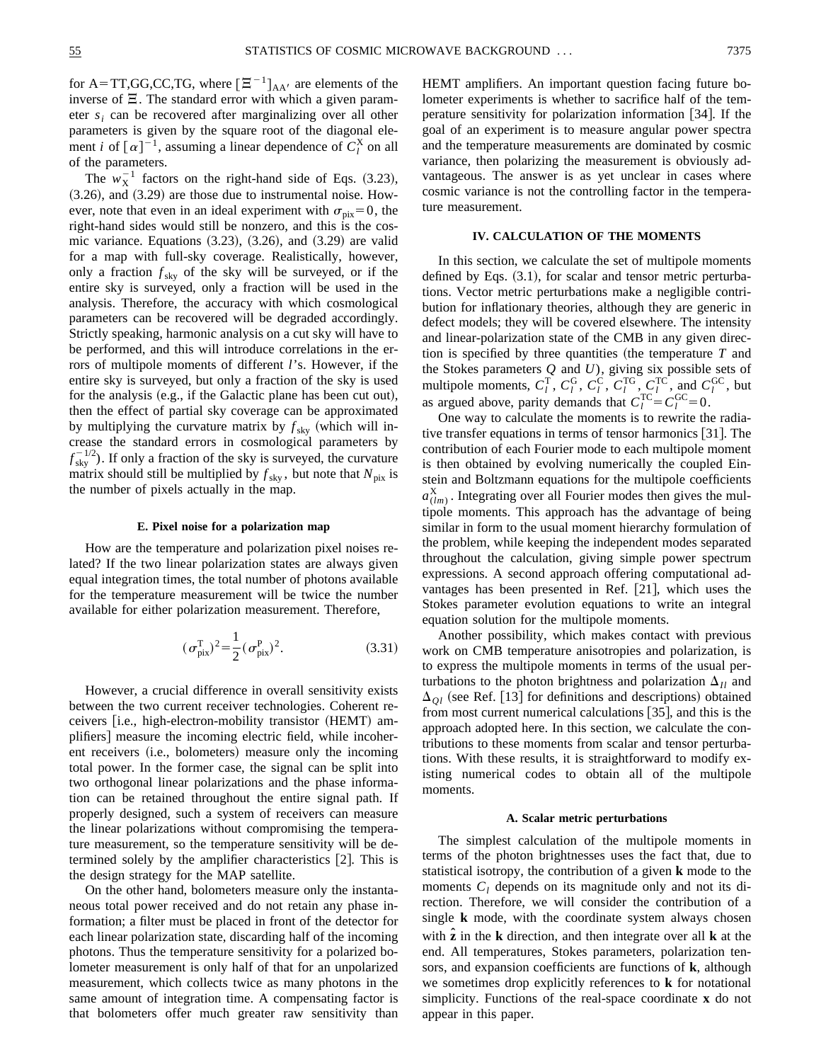for A=TT,GG,CC,TG, where  $[\Xi^{-1}]_{AA'}$  are elements of the inverse of  $\Xi$ . The standard error with which a given parameter *si* can be recovered after marginalizing over all other parameters is given by the square root of the diagonal element *i* of  $\lbrack \alpha \rbrack^{-1}$ , assuming a linear dependence of  $C_l^X$  on all of the parameters.

The  $w_X^{-1}$  factors on the right-hand side of Eqs. (3.23),  $(3.26)$ , and  $(3.29)$  are those due to instrumental noise. However, note that even in an ideal experiment with  $\sigma_{\text{pix}}=0$ , the right-hand sides would still be nonzero, and this is the cosmic variance. Equations  $(3.23)$ ,  $(3.26)$ , and  $(3.29)$  are valid for a map with full-sky coverage. Realistically, however, only a fraction  $f_{\rm sky}$  of the sky will be surveyed, or if the entire sky is surveyed, only a fraction will be used in the analysis. Therefore, the accuracy with which cosmological parameters can be recovered will be degraded accordingly. Strictly speaking, harmonic analysis on a cut sky will have to be performed, and this will introduce correlations in the errors of multipole moments of different *l*'s. However, if the entire sky is surveyed, but only a fraction of the sky is used for the analysis  $(e.g., if the Galactic plane has been cut out),$ then the effect of partial sky coverage can be approximated by multiplying the curvature matrix by  $f_{\rm sky}$  (which will increase the standard errors in cosmological parameters by  $f_{\text{sky}}^{-1/2}$ ). If only a fraction of the sky is surveyed, the curvature matrix should still be multiplied by  $f_{\rm sky}$ , but note that  $N_{\rm pix}$  is the number of pixels actually in the map.

### **E. Pixel noise for a polarization map**

How are the temperature and polarization pixel noises related? If the two linear polarization states are always given equal integration times, the total number of photons available for the temperature measurement will be twice the number available for either polarization measurement. Therefore,

$$
(\sigma_{\text{pix}}^{\text{T}})^2 = \frac{1}{2} (\sigma_{\text{pix}}^{\text{P}})^2.
$$
 (3.31)

However, a crucial difference in overall sensitivity exists between the two current receiver technologies. Coherent receivers [i.e., high-electron-mobility transistor (HEMT) amplifiers] measure the incoming electric field, while incoherent receivers (i.e., bolometers) measure only the incoming total power. In the former case, the signal can be split into two orthogonal linear polarizations and the phase information can be retained throughout the entire signal path. If properly designed, such a system of receivers can measure the linear polarizations without compromising the temperature measurement, so the temperature sensitivity will be determined solely by the amplifier characteristics  $[2]$ . This is the design strategy for the MAP satellite.

On the other hand, bolometers measure only the instantaneous total power received and do not retain any phase information; a filter must be placed in front of the detector for each linear polarization state, discarding half of the incoming photons. Thus the temperature sensitivity for a polarized bolometer measurement is only half of that for an unpolarized measurement, which collects twice as many photons in the same amount of integration time. A compensating factor is that bolometers offer much greater raw sensitivity than HEMT amplifiers. An important question facing future bolometer experiments is whether to sacrifice half of the temperature sensitivity for polarization information  $[34]$ . If the goal of an experiment is to measure angular power spectra and the temperature measurements are dominated by cosmic variance, then polarizing the measurement is obviously advantageous. The answer is as yet unclear in cases where cosmic variance is not the controlling factor in the temperature measurement.

### **IV. CALCULATION OF THE MOMENTS**

In this section, we calculate the set of multipole moments defined by Eqs.  $(3.1)$ , for scalar and tensor metric perturbations. Vector metric perturbations make a negligible contribution for inflationary theories, although they are generic in defect models; they will be covered elsewhere. The intensity and linear-polarization state of the CMB in any given direction is specified by three quantities (the temperature  $T$  and the Stokes parameters *Q* and *U*), giving six possible sets of multipole moments,  $C_l^T$ ,  $C_l^G$ ,  $C_l^C$ ,  $C_l^{TG}$ ,  $C_l^{TC}$ , and  $C_l^{GC}$ , but as argued above, parity demands that  $C_l^{\text{TC}} = C_l^{\text{GC}} = 0$ .

One way to calculate the moments is to rewrite the radiative transfer equations in terms of tensor harmonics  $[31]$ . The contribution of each Fourier mode to each multipole moment is then obtained by evolving numerically the coupled Einstein and Boltzmann equations for the multipole coefficients  $a_{(lm)}^X$ . Integrating over all Fourier modes then gives the multipole moments. This approach has the advantage of being similar in form to the usual moment hierarchy formulation of the problem, while keeping the independent modes separated throughout the calculation, giving simple power spectrum expressions. A second approach offering computational advantages has been presented in Ref.  $[21]$ , which uses the Stokes parameter evolution equations to write an integral equation solution for the multipole moments.

Another possibility, which makes contact with previous work on CMB temperature anisotropies and polarization, is to express the multipole moments in terms of the usual perturbations to the photon brightness and polarization  $\Delta_{II}$  and  $\Delta_{OL}$  (see Ref. [13] for definitions and descriptions) obtained from most current numerical calculations  $[35]$ , and this is the approach adopted here. In this section, we calculate the contributions to these moments from scalar and tensor perturbations. With these results, it is straightforward to modify existing numerical codes to obtain all of the multipole moments.

## **A. Scalar metric perturbations**

The simplest calculation of the multipole moments in terms of the photon brightnesses uses the fact that, due to statistical isotropy, the contribution of a given **k** mode to the moments  $C_l$  depends on its magnitude only and not its direction. Therefore, we will consider the contribution of a single **k** mode, with the coordinate system always chosen with **zˆ** in the **k** direction, and then integrate over all **k** at the end. All temperatures, Stokes parameters, polarization tensors, and expansion coefficients are functions of **k**, although we sometimes drop explicitly references to **k** for notational simplicity. Functions of the real-space coordinate **x** do not appear in this paper.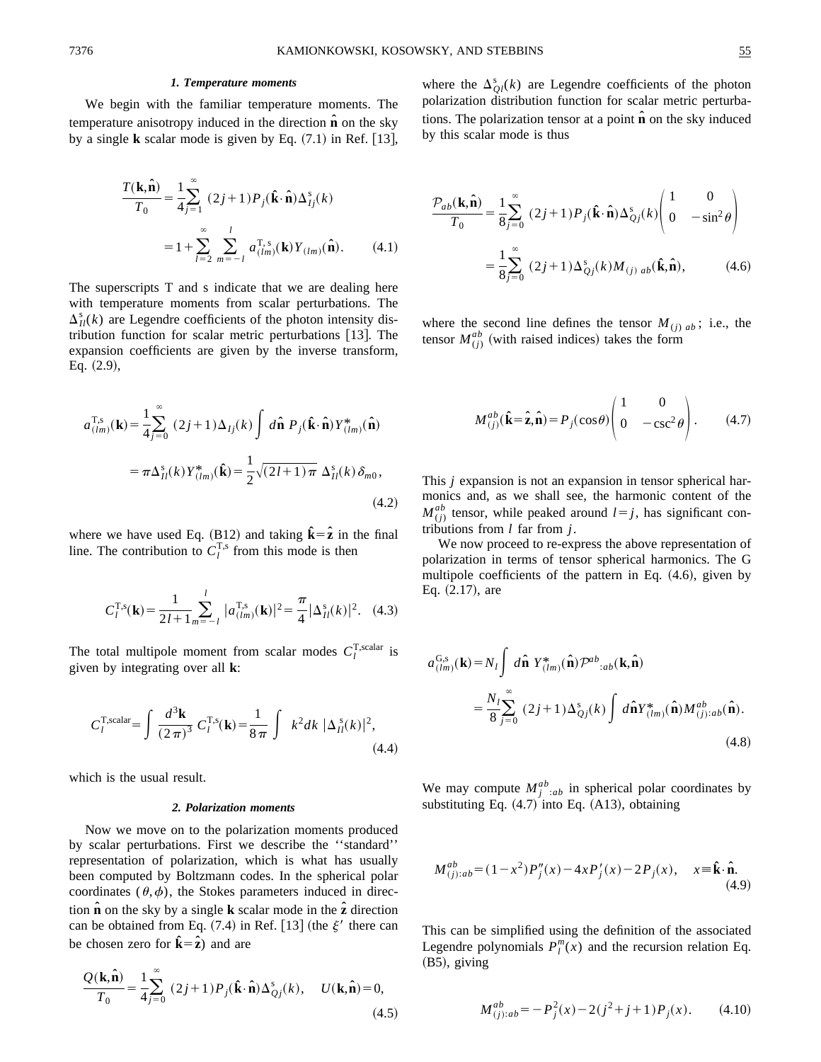## *1. Temperature moments*

We begin with the familiar temperature moments. The temperature anisotropy induced in the direction **nˆ** on the sky by a single **k** scalar mode is given by Eq.  $(7.1)$  in Ref.  $[13]$ ,

$$
\frac{T(\mathbf{k}, \hat{\mathbf{n}})}{T_0} = \frac{1}{4} \sum_{j=1}^{\infty} (2j+1) P_j(\hat{\mathbf{k}} \cdot \hat{\mathbf{n}}) \Delta_{Ij}^s(k)
$$

$$
= 1 + \sum_{l=2}^{\infty} \sum_{m=-l}^{l} a_{(lm)}^{T,s}(\mathbf{k}) Y_{(lm)}(\hat{\mathbf{n}}).
$$
(4.1)

The superscripts T and s indicate that we are dealing here with temperature moments from scalar perturbations. The  $\Delta_{II}^{s}(k)$  are Legendre coefficients of the photon intensity distribution function for scalar metric perturbations  $[13]$ . The expansion coefficients are given by the inverse transform, Eq.  $(2.9)$ ,

$$
a_{(lm)}^{\text{T,s}}(\mathbf{k}) = \frac{1}{4} \sum_{j=0}^{\infty} (2j+1) \Delta_{lj}(k) \int d\hat{\mathbf{n}} P_j(\hat{\mathbf{k}} \cdot \hat{\mathbf{n}}) Y_{(lm)}^*(\hat{\mathbf{n}})
$$

$$
= \pi \Delta_{ll}^{\text{s}}(k) Y_{(lm)}^*(\hat{\mathbf{k}}) = \frac{1}{2} \sqrt{(2l+1)\pi} \Delta_{ll}^{\text{s}}(k) \delta_{m0},
$$
(4.2)

where we have used Eq.  $(B12)$  and taking  $\hat{\mathbf{k}} = \hat{\mathbf{z}}$  in the final line. The contribution to  $C_l^{\text{T,s}}$  from this mode is then

$$
C_l^{\mathrm{T},\mathrm{s}}(\mathbf{k}) = \frac{1}{2l+1} \sum_{m=-l}^{l} |a_{(lm)}^{\mathrm{T},\mathrm{s}}(\mathbf{k})|^2 = \frac{\pi}{4} |\Delta_{ll}^{\mathrm{s}}(k)|^2. \quad (4.3)
$$

The total multipole moment from scalar modes  $C_l^{\text{T},\text{scalar}}$  is given by integrating over all **k**:

$$
C_l^{\text{T,scalar}} = \int \frac{d^3 \mathbf{k}}{(2\pi)^3} C_l^{\text{T,s}}(\mathbf{k}) = \frac{1}{8\pi} \int k^2 dk \ |\Delta_H^{\text{s}}(k)|^2,
$$
\n(4.4)

which is the usual result.

#### *2. Polarization moments*

Now we move on to the polarization moments produced by scalar perturbations. First we describe the ''standard'' representation of polarization, which is what has usually been computed by Boltzmann codes. In the spherical polar coordinates  $(\theta, \phi)$ , the Stokes parameters induced in direction  $\hat{\bf{n}}$  on the sky by a single **k** scalar mode in the  $\hat{\bf{z}}$  direction can be obtained from Eq.  $(7.4)$  in Ref. [13] (the  $\xi'$  there can be chosen zero for  $\hat{\mathbf{k}} = \hat{\mathbf{z}}$  and are

$$
\frac{Q(\mathbf{k}, \hat{\mathbf{n}})}{T_0} = \frac{1}{4} \sum_{j=0}^{\infty} (2j+1) P_j(\hat{\mathbf{k}} \cdot \hat{\mathbf{n}}) \Delta_{Qj}^s(k), \quad U(\mathbf{k}, \hat{\mathbf{n}}) = 0,
$$
\n(4.5)

where the  $\Delta_{Q_l}^s(k)$  are Legendre coefficients of the photon polarization distribution function for scalar metric perturbations. The polarization tensor at a point **nˆ** on the sky induced by this scalar mode is thus

$$
\frac{\mathcal{P}_{ab}(\mathbf{k}, \hat{\mathbf{n}})}{T_0} = \frac{1}{8} \sum_{j=0}^{\infty} (2j+1) P_j(\hat{\mathbf{k}} \cdot \hat{\mathbf{n}}) \Delta_{Qj}^s(k) \begin{pmatrix} 1 & 0 \\ 0 & -\sin^2 \theta \end{pmatrix}
$$

$$
= \frac{1}{8} \sum_{j=0}^{\infty} (2j+1) \Delta_{Qj}^s(k) M_{(j)ab}(\hat{\mathbf{k}}, \hat{\mathbf{n}}), \qquad (4.6)
$$

where the second line defines the tensor  $M_{(j)ab}$ ; i.e., the tensor  $M_{(j)}^{ab}$  (with raised indices) takes the form

$$
M_{(j)}^{ab}(\hat{\mathbf{k}} = \hat{\mathbf{z}}, \hat{\mathbf{n}}) = P_j(\cos \theta) \begin{pmatrix} 1 & 0 \\ 0 & -\csc^2 \theta \end{pmatrix}.
$$
 (4.7)

This *j* expansion is not an expansion in tensor spherical harmonics and, as we shall see, the harmonic content of the  $M_{(j)}^{ab}$  tensor, while peaked around  $l=j$ , has significant contributions from *l* far from *j*.

We now proceed to re-express the above representation of polarization in terms of tensor spherical harmonics. The G multipole coefficients of the pattern in Eq.  $(4.6)$ , given by Eq.  $(2.17)$ , are

$$
a_{(lm)}^{\mathbf{G},\mathbf{s}}(\mathbf{k}) = N_l \int d\hat{\mathbf{n}} Y_{(lm)}^* (\hat{\mathbf{n}}) \mathcal{P}^{ab}{}_{;ab}(\mathbf{k}, \hat{\mathbf{n}})
$$
  
= 
$$
\frac{N_l \sum_{j=0}^{\infty} (2j+1) \Delta_{Qj}^{\mathbf{s}}(k) \int d\hat{\mathbf{n}} Y_{(lm)}^* (\hat{\mathbf{n}}) M_{(j):ab}^{ab}(\hat{\mathbf{n}}).
$$
(4.8)

We may compute  $M_j^{ab}$ :*ab* in spherical polar coordinates by substituting Eq.  $(4.7)$  into Eq.  $(A13)$ , obtaining

$$
M_{(j):ab}^{ab} = (1 - x^2)P_j''(x) - 4xP_j'(x) - 2P_j(x), \quad x \equiv \hat{\mathbf{k}} \cdot \hat{\mathbf{n}}.\tag{4.9}
$$

This can be simplified using the definition of the associated Legendre polynomials  $P_l^m(x)$  and the recursion relation Eq.  $(B5)$ , giving

$$
M_{(j):ab}^{ab} = -P_j^2(x) - 2(j^2 + j + 1)P_j(x). \tag{4.10}
$$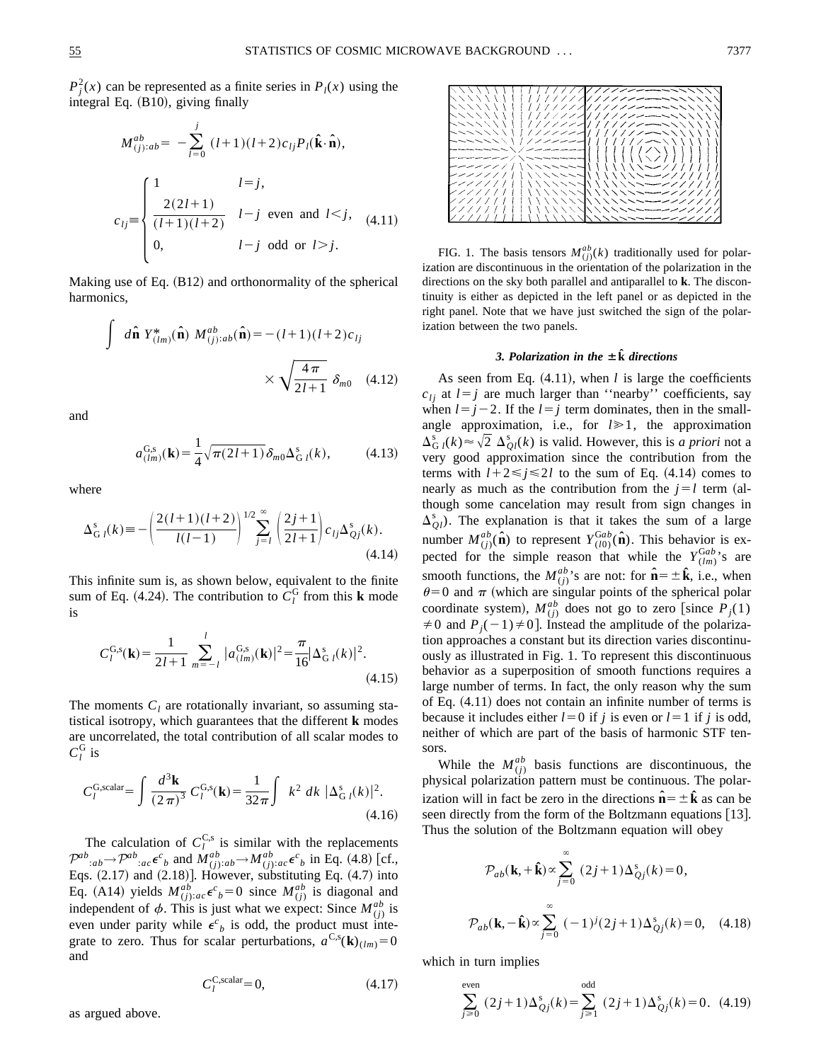$P_j^2(x)$  can be represented as a finite series in  $P_l(x)$  using the integral Eq.  $(B10)$ , giving finally

$$
M_{(j):ab}^{ab} = -\sum_{l=0}^{j} (l+1)(l+2)c_{lj}P_{l}(\hat{\mathbf{k}} \cdot \hat{\mathbf{n}}),
$$
  

$$
c_{lj} \equiv \begin{cases} 1 & l=j, \\ \frac{2(2l+1)}{(l+1)(l+2)} & l-j \text{ even and } l < j, \\ 0, & l-j \text{ odd or } l > j. \end{cases} (4.11)
$$

Making use of Eq.  $(B12)$  and orthonormality of the spherical harmonics,

$$
\int d\hat{\mathbf{n}} Y_{(lm)}^*(\hat{\mathbf{n}}) M_{(j):ab}^{ab}(\hat{\mathbf{n}}) = -(l+1)(l+2)c_{lj}
$$

$$
\times \sqrt{\frac{4\pi}{2l+1}} \delta_{m0} \quad (4.12)
$$

and

$$
a_{(lm)}^{\mathbf{G},\mathbf{s}}(\mathbf{k}) = \frac{1}{4} \sqrt{\pi (2l+1)} \delta_{m0} \Delta_{\mathbf{G}l}^{\mathbf{s}}(k), \tag{4.13}
$$

where

$$
\Delta_{\mathcal{G}\,l}^{s}(k) \equiv -\left(\frac{2(l+1)(l+2)}{l(l-1)}\right)^{1/2} \sum_{j=l}^{\infty} \left(\frac{2j+1}{2l+1}\right) c_{lj} \Delta_{Qj}^{s}(k). \tag{4.14}
$$

This infinite sum is, as shown below, equivalent to the finite sum of Eq. (4.24). The contribution to  $C_l^G$  from this **k** mode is

$$
C_l^{\text{G,s}}(\mathbf{k}) = \frac{1}{2l+1} \sum_{m=-l}^{l} |a_{(lm)}^{\text{G,s}}(\mathbf{k})|^2 = \frac{\pi}{16} |\Delta_{\text{G}l}^{\text{s}}(k)|^2.
$$
\n(4.15)

The moments  $C_l$  are rotationally invariant, so assuming statistical isotropy, which guarantees that the different **k** modes are uncorrelated, the total contribution of all scalar modes to  $C_l^{\rm G}$  is

$$
C_l^{\text{G,scalar}} = \int \frac{d^3 \mathbf{k}}{(2\pi)^3} C_l^{\text{G,s}}(\mathbf{k}) = \frac{1}{32\pi} \int k^2 dk |\Delta_{\text{G}l}^s(k)|^2.
$$
\n(4.16)

The calculation of  $C_l^{\text{C,s}}$  is similar with the replacements  $\mathcal{P}^{ab}$ :*ab*  $\rightarrow \mathcal{P}^{ab}$ :*ac* $\epsilon^c{}_b$  and  $M_{(j):ab}^{ab} \rightarrow M_{(j):ac}^{ab} \epsilon^c{}_b$  in Eq. (4.8) [cf., Eqs.  $(2.17)$  and  $(2.18)$ ]. However, substituting Eq.  $(4.7)$  into Eq. (A14) yields  $M_{(j)}^{ab}$   $_{ac} \epsilon^c{}_b = 0$  since  $M_{(j)}^{ab}$  is diagonal and independent of  $\phi$ . This is just what we expect: Since  $M_{(j)}^{ab}$  is even under parity while  $\epsilon^c$  is odd, the product must integrate to zero. Thus for scalar perturbations,  $a^{C,s}(\mathbf{k})_{(lm)}=0$ and

$$
C_l^{\text{C,scalar}} = 0,\t\t(4.17)
$$

as argued above.



FIG. 1. The basis tensors  $M_{(j)}^{ab}(k)$  traditionally used for polarization are discontinuous in the orientation of the polarization in the directions on the sky both parallel and antiparallel to **k**. The discontinuity is either as depicted in the left panel or as depicted in the right panel. Note that we have just switched the sign of the polarization between the two panels.

### *3. Polarization in the*  $\pm \hat{k}$  *directions*

As seen from Eq.  $(4.11)$ , when *l* is large the coefficients  $c_{ij}$  at  $l=j$  are much larger than "nearby" coefficients, say when  $l=j-2$ . If the  $l=j$  term dominates, then in the smallangle approximation, i.e., for  $l \ge 1$ , the approximation  $\Delta_{G_l}^{s}(k) \approx \sqrt{2} \Delta_{Q_l}^{s}(k)$  is valid. However, this is *a priori* not a very good approximation since the contribution from the terms with  $l+2 \le j \le 2l$  to the sum of Eq. (4.14) comes to nearly as much as the contribution from the  $j=l$  term (although some cancelation may result from sign changes in  $\Delta_{Ql}^{s}$ ). The explanation is that it takes the sum of a large number  $M_{(j)}^{ab}(\hat{\mathbf{n}})$  to represent  $Y_{(l0)}^{Gab}(\hat{\mathbf{n}})$ . This behavior is expected for the simple reason that while the  $Y^{Gab}_{(lm)}$ 's are smooth functions, the  $M_{(j)}^{ab}$ 's are not: for  $\hat{\mathbf{n}} = \pm \hat{\mathbf{k}}$ , i.e., when  $\theta$ =0 and  $\pi$  (which are singular points of the spherical polar coordinate system),  $M_{(j)}^{ab}$  does not go to zero [since  $P_j(1)$  $\neq 0$  and  $P_i(-1)\neq 0$ . Instead the amplitude of the polarization approaches a constant but its direction varies discontinuously as illustrated in Fig. 1. To represent this discontinuous behavior as a superposition of smooth functions requires a large number of terms. In fact, the only reason why the sum of Eq.  $(4.11)$  does not contain an infinite number of terms is because it includes either  $l=0$  if *j* is even or  $l=1$  if *j* is odd, neither of which are part of the basis of harmonic STF tensors.

While the  $M_{(j)}^{ab}$  basis functions are discontinuous, the physical polarization pattern must be continuous. The polarization will in fact be zero in the directions  $\hat{\mathbf{n}} = \pm \hat{\mathbf{k}}$  as can be seen directly from the form of the Boltzmann equations  $[13]$ . Thus the solution of the Boltzmann equation will obey

$$
\mathcal{P}_{ab}(\mathbf{k}, +\hat{\mathbf{k}}) \propto \sum_{j=0}^{\infty} (2j+1) \Delta_{Qj}^{s}(k) = 0,
$$
  

$$
\mathcal{P}_{ab}(\mathbf{k}, -\hat{\mathbf{k}}) \propto \sum_{j=0}^{\infty} (-1)^{j} (2j+1) \Delta_{Qj}^{s}(k) = 0, \quad (4.18)
$$

which in turn implies

even  

$$
\sum_{j\geq 0}^{\text{even}} (2j+1)\Delta_{Qj}^s(k) = \sum_{j\geq 1}^{\text{odd}} (2j+1)\Delta_{Qj}^s(k) = 0.
$$
 (4.19)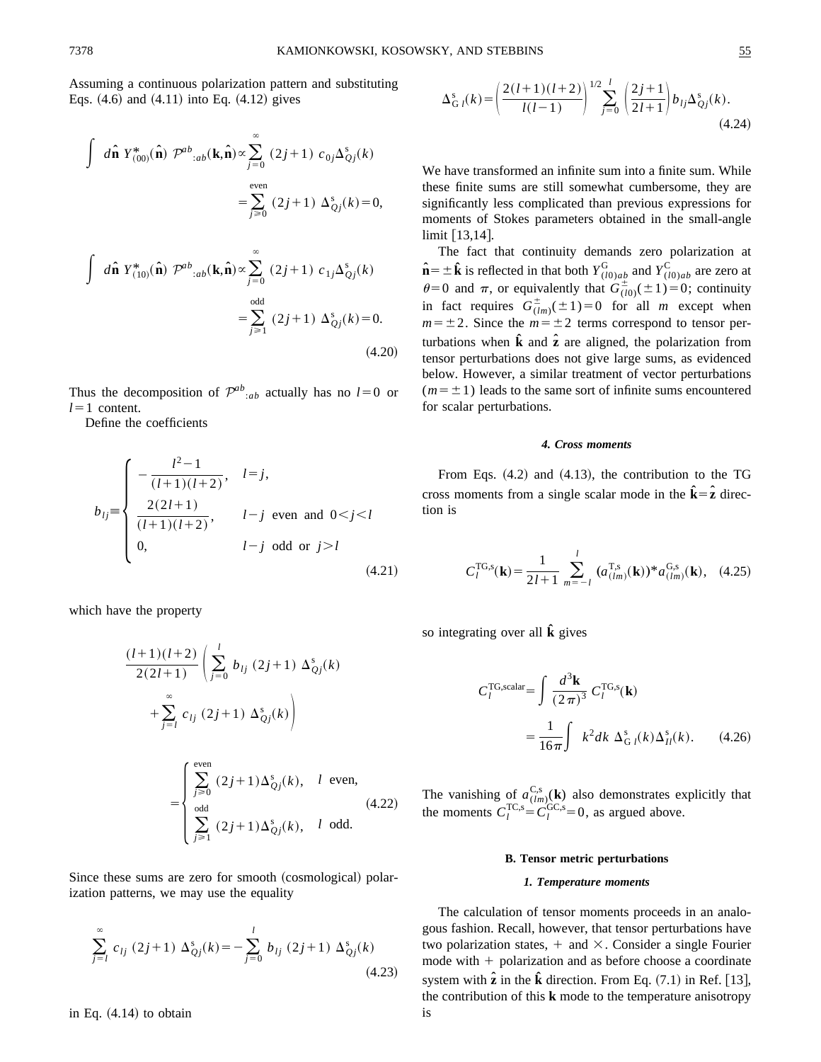$$
\int d\hat{\mathbf{n}} Y_{(00)}^* (\hat{\mathbf{n}}) \mathcal{P}^{ab}{}_{:ab}(\mathbf{k}, \hat{\mathbf{n}}) \propto \sum_{j=0}^{\infty} (2j+1) c_{0j} \Delta_{Qj}^s(k)
$$

$$
= \sum_{j\geq 0}^{\text{even}} (2j+1) \Delta_{Qj}^s(k) = 0,
$$

$$
\int d\hat{\mathbf{n}} Y_{(10)}^*(\hat{\mathbf{n}}) \mathcal{P}^{ab}{}_{:ab}(\mathbf{k}, \hat{\mathbf{n}}) \propto \sum_{j=0}^{\infty} (2j+1) c_{1j} \Delta_{Qj}^s(k)
$$

$$
= \sum_{j=1}^{\text{odd}} (2j+1) \Delta_{Qj}^s(k) = 0.
$$
(4.20)

Thus the decomposition of  $\mathcal{P}^{ab}$ .*<sub>ab</sub>* actually has no *l*=0 or  $l=1$  content.

Define the coefficients

$$
b_{lj} \equiv \begin{cases}\n-\frac{l^2 - 1}{(l+1)(l+2)}, & l = j, \\
\frac{2(2l+1)}{(l+1)(l+2)}, & l - j \text{ even and } 0 < j < l \\
0, & l - j \text{ odd or } j > l\n\end{cases}
$$
\n(4.21)

which have the property

$$
\frac{(l+1)(l+2)}{2(2l+1)} \left( \sum_{j=0}^{l} b_{lj} (2j+1) \Delta_{Qj}^{s}(k) + \sum_{j=l}^{\infty} c_{lj} (2j+1) \Delta_{Qj}^{s}(k) \right)
$$
  
= 
$$
\begin{cases} \sum_{j\geq 0}^{\text{even}} (2j+1) \Delta_{Qj}^{s}(k), & l \text{ even,} \\ \sum_{j\geq 1}^{\text{odd}} (2j+1) \Delta_{Qj}^{s}(k), & l \text{ odd.} \end{cases}
$$
(4.22)

Since these sums are zero for smooth (cosmological) polarization patterns, we may use the equality

$$
\sum_{j=l}^{\infty} c_{lj} (2j+1) \Delta_{Qj}^{s}(k) = -\sum_{j=0}^{l} b_{lj} (2j+1) \Delta_{Qj}^{s}(k)
$$
\n(4.23)

in Eq.  $(4.14)$  to obtain

$$
\Delta_{\mathbf{G}\,l}^{s}(k) = \left(\frac{2(l+1)(l+2)}{l(l-1)}\right)^{1/2} \sum_{j=0}^{l} \left(\frac{2j+1}{2l+1}\right) b_{lj} \Delta_{Qj}^{s}(k). \tag{4.24}
$$

We have transformed an infinite sum into a finite sum. While these finite sums are still somewhat cumbersome, they are significantly less complicated than previous expressions for moments of Stokes parameters obtained in the small-angle  $limit [13,14].$ 

The fact that continuity demands zero polarization at  $\hat{\mathbf{n}} = \pm \hat{\mathbf{k}}$  is reflected in that both  $Y^{\text{G}}_{(l0)ab}$  and  $Y^{\text{C}}_{(l0)ab}$  are zero at  $\theta=0$  and  $\pi$ , or equivalently that  $G^{\pm}_{(l0)}(\pm 1)=0$ ; continuity in fact requires  $G^{\pm}_{(lm)}(\pm 1)=0$  for all *m* except when  $m = \pm 2$ . Since the  $m = \pm 2$  terms correspond to tensor perturbations when  $\hat{\bf k}$  and  $\hat{\bf z}$  are aligned, the polarization from tensor perturbations does not give large sums, as evidenced below. However, a similar treatment of vector perturbations  $(m=\pm 1)$  leads to the same sort of infinite sums encountered for scalar perturbations.

## *4. Cross moments*

From Eqs.  $(4.2)$  and  $(4.13)$ , the contribution to the TG cross moments from a single scalar mode in the  $\hat{\mathbf{k}} = \hat{\mathbf{z}}$  direction is

$$
C_l^{\text{TG},s}(\mathbf{k}) = \frac{1}{2l+1} \sum_{m=-l}^{l} (a_{(lm)}^{\text{T},s}(\mathbf{k}))^* a_{(lm)}^{\text{G},s}(\mathbf{k}), \quad (4.25)
$$

so integrating over all **kˆ** gives

$$
C_l^{\text{TG},\text{scalar}} = \int \frac{d^3 \mathbf{k}}{(2\pi)^3} C_l^{\text{TG},\text{s}}(\mathbf{k})
$$

$$
= \frac{1}{16\pi} \int k^2 dk \; \Delta_{\text{G}}^{\text{s}}(k) \Delta_{ll}^{\text{s}}(k). \tag{4.26}
$$

The vanishing of  $a_{(lm)}^{C,s}(\mathbf{k})$  also demonstrates explicitly that the moments  $C_l^{\text{TC,s}} = C_l^{\text{GC,s}} = 0$ , as argued above.

### **B. Tensor metric perturbations**

#### *1. Temperature moments*

The calculation of tensor moments proceeds in an analogous fashion. Recall, however, that tensor perturbations have two polarization states,  $+$  and  $\times$ . Consider a single Fourier mode with  $+$  polarization and as before choose a coordinate system with  $\hat{\mathbf{z}}$  in the  $\hat{\mathbf{k}}$  direction. From Eq.  $(7.1)$  in Ref. [13], the contribution of this **k** mode to the temperature anisotropy is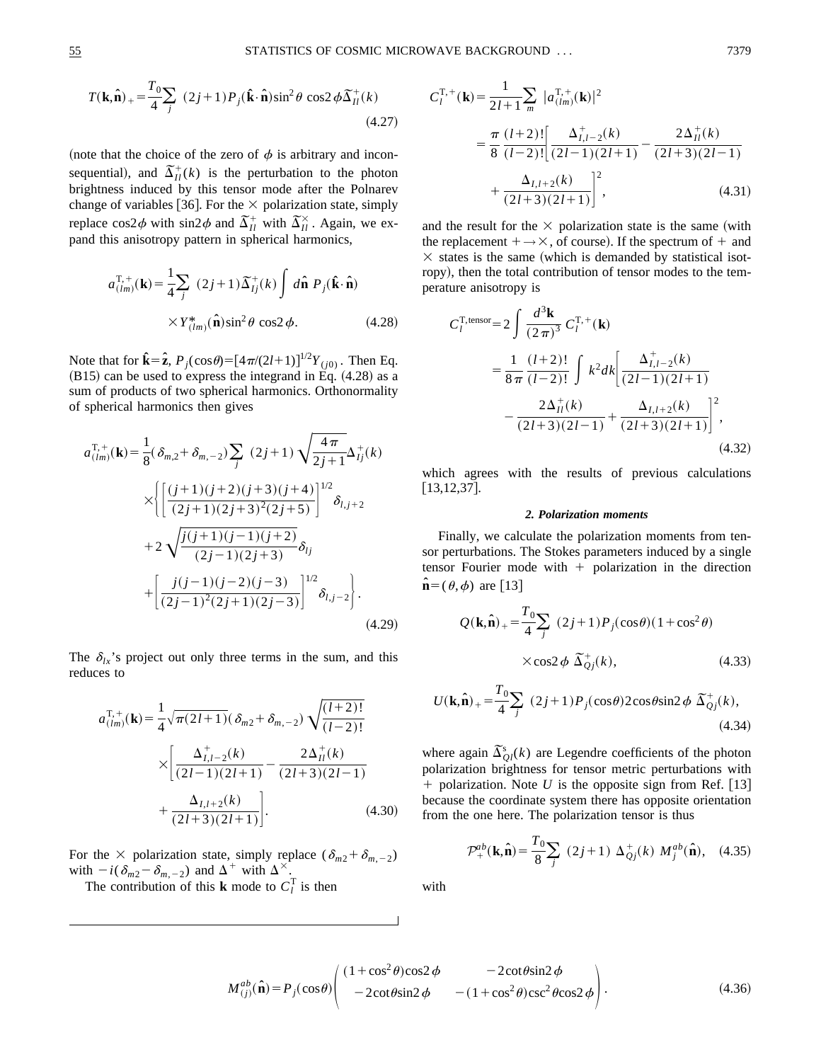$$
T(\mathbf{k}, \hat{\mathbf{n}})_{+} = \frac{T_0}{4} \sum_{j} (2j+1) P_j(\hat{\mathbf{k}} \cdot \hat{\mathbf{n}}) \sin^2 \theta \cos 2\phi \widetilde{\Delta}_{II}^{+}(k)
$$
\n(4.27)

(note that the choice of the zero of  $\phi$  is arbitrary and inconsequential), and  $\overline{\Delta}^+_R(k)$  is the perturbation to the photon brightness induced by this tensor mode after the Polnarev change of variables [36]. For the  $\times$  polarization state, simply replace  $\cos 2\phi$  with  $\sin 2\phi$  and  $\overline{\Delta}^+_{II}$  with  $\overline{\Delta}^{\times}_{II}$ . Again, we expand this anisotropy pattern in spherical harmonics,

$$
a_{(lm)}^{\mathrm{T},+}(\mathbf{k}) = \frac{1}{4} \sum_{j} (2j+1) \tilde{\Delta}_{1j}^{+}(k) \int d\hat{\mathbf{n}} P_{j}(\hat{\mathbf{k}} \cdot \hat{\mathbf{n}})
$$

$$
\times Y_{(lm)}^{*}(\hat{\mathbf{n}}) \sin^{2} \theta \cos^{2} \phi. \tag{4.28}
$$

Note that for  $\hat{\mathbf{k}} = \hat{\mathbf{z}}$ ,  $P_j(\cos \theta) = [4\pi/(2l+1)]^{1/2}Y_{(j0)}$ . Then Eq.  $(B15)$  can be used to express the integrand in Eq.  $(4.28)$  as a sum of products of two spherical harmonics. Orthonormality of spherical harmonics then gives

$$
a_{(lm)}^{\mathrm{T},+}(\mathbf{k}) = \frac{1}{8} (\delta_{m,2} + \delta_{m,-2}) \sum_{j} (2j+1) \sqrt{\frac{4\pi}{2j+1}} \Delta_{ij}^{+}(k)
$$
  

$$
\times \left\{ \left[ \frac{(j+1)(j+2)(j+3)(j+4)}{(2j+1)(2j+3)^{2}(2j+5)} \right]^{1/2} \delta_{l,j+2} + 2 \sqrt{\frac{j(j+1)(j-1)(j+2)}{(2j-1)(2j+3)}} \delta_{lj} + \left[ \frac{j(j-1)(j-2)(j-3)}{(2j-1)^{2}(2j+1)(2j-3)} \right]^{1/2} \delta_{l,j-2} \right\}.
$$
(4.29)

The  $\delta_{lx}$ 's project out only three terms in the sum, and this reduces to

$$
a_{(lm)}^{\text{T},+}(\mathbf{k}) = \frac{1}{4} \sqrt{\pi (2l+1)} (\delta_{m2} + \delta_{m,-2}) \sqrt{\frac{(l+2)!}{(l-2)!}}
$$

$$
\times \left[ \frac{\Delta_{I,l-2}^{+}(k)}{(2l-1)(2l+1)} - \frac{2\Delta_{II}^{+}(k)}{(2l+3)(2l-1)} + \frac{\Delta_{I,l+2}(k)}{(2l+3)(2l+1)} \right].
$$
(4.30)

For the  $\times$  polarization state, simply replace ( $\delta_{m2} + \delta_{m,-2}$ ) with  $-i(\delta_{m2}-\delta_{m,-2})$  and  $\Delta^+$  with  $\Delta^{\times}$ .

The contribution of this **k** mode to  $C_l^T$  is then

$$
C_l^{\mathrm{T},+}(\mathbf{k}) = \frac{1}{2l+1} \sum_m |a_{(lm)}^{\mathrm{T},+}(\mathbf{k})|^2
$$
  
= 
$$
\frac{\pi}{8} \frac{(l+2)!}{(l-2)!} \left[ \frac{\Delta_{l,l-2}^+(k)}{(2l-1)(2l+1)} - \frac{2\Delta_{ll}^+(k)}{(2l+3)(2l-1)} + \frac{\Delta_{l,l+2}(k)}{(2l+3)(2l+1)} \right]^2,
$$
 (4.31)

and the result for the  $\times$  polarization state is the same (with the replacement  $+\rightarrow \times$ , of course). If the spectrum of  $+$  and  $\times$  states is the same (which is demanded by statistical isotropy), then the total contribution of tensor modes to the temperature anisotropy is

$$
C_{l}^{\text{T,tensor}} = 2 \int \frac{d^{3} \mathbf{k}}{(2\pi)^{3}} C_{l}^{\text{T,+}}(\mathbf{k})
$$
  
=  $\frac{1}{8\pi} \frac{(l+2)!}{(l-2)!} \int k^{2} dk \left[ \frac{\Delta_{l,l-2}^{+}(k)}{(2l-1)(2l+1)} - \frac{2\Delta_{ll}^{+}(k)}{(2l+3)(2l-1)} + \frac{\Delta_{l,l+2}(k)}{(2l+3)(2l+1)} \right]^{2}$ , (4.32)

which agrees with the results of previous calculations  $[13, 12, 37]$ .

### *2. Polarization moments*

Finally, we calculate the polarization moments from tensor perturbations. The Stokes parameters induced by a single tensor Fourier mode with  $+$  polarization in the direction  $\mathbf{n} = (\theta, \phi)$  are [13]

$$
Q(\mathbf{k}, \hat{\mathbf{n}})_{+} = \frac{T_0}{4} \sum_{j} (2j+1) P_j(\cos \theta) (1 + \cos^2 \theta)
$$
  
×cos2 \phi  $\overline{\Delta}_{Qj}^{+}(k)$ , (4.33)

$$
U(\mathbf{k}, \hat{\mathbf{n}})_{+} = \frac{T_0}{4} \sum_{j} (2j+1) P_j(\cos\theta) 2 \cos\theta \sin 2\phi \ \tilde{\Delta}_{Qj}^{+}(k),
$$
\n(4.34)

where again  $\overline{\Delta}_{Ql}^{s}(k)$  are Legendre coefficients of the photon polarization brightness for tensor metric perturbations with  $+$  polarization. Note *U* is the opposite sign from Ref. [13] because the coordinate system there has opposite orientation from the one here. The polarization tensor is thus

$$
\mathcal{P}_{+}^{ab}(\mathbf{k}, \hat{\mathbf{n}}) = \frac{T_0}{8} \sum_{j} (2j+1) \Delta_{Qj}^{+}(k) M_j^{ab}(\hat{\mathbf{n}}), \quad (4.35)
$$

with

$$
M_{(j)}^{ab}(\hat{\mathbf{n}}) = P_j(\cos\theta) \begin{pmatrix} (1+\cos^2\theta)\cos 2\phi & -2\cot\theta\sin 2\phi \\ -2\cot\theta\sin 2\phi & -(1+\cos^2\theta)\csc^2\theta\cos 2\phi \end{pmatrix}.
$$
 (4.36)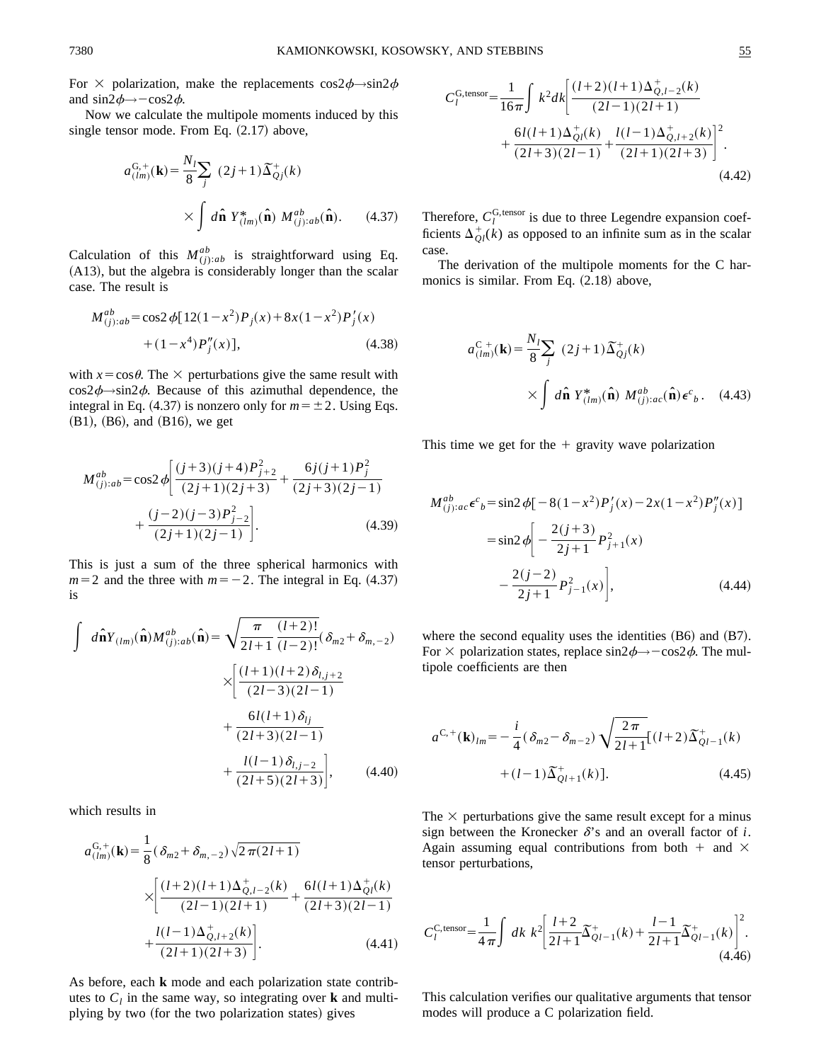For  $\times$  polarization, make the replacements cos2 $\phi \rightarrow \sin 2\phi$ and  $\sin 2\phi \rightarrow -\cos 2\phi$ .

Now we calculate the multipole moments induced by this single tensor mode. From Eq.  $(2.17)$  above,

$$
a_{(lm)}^{\mathbf{G},+}(\mathbf{k}) = \frac{N_l}{8} \sum_{j} (2j+1) \widetilde{\Delta}_{Qj}^{+}(k)
$$

$$
\times \int d\hat{\mathbf{n}} Y_{(lm)}^{*}(\hat{\mathbf{n}}) M_{(j):ab}^{ab}(\hat{\mathbf{n}}). \qquad (4.37)
$$

Calculation of this  $M_{(j):ab}^{ab}$  is straightforward using Eq.  $(A13)$ , but the algebra is considerably longer than the scalar case. The result is

$$
M_{(j):ab}^{ab} = \cos 2 \phi [12(1-x^2)P_j(x) + 8x(1-x^2)P'_j(x) + (1-x^4)P''_j(x)],
$$
\n(4.38)

with  $x = \cos \theta$ . The  $\times$  perturbations give the same result with  $\cos 2\phi \rightarrow \sin 2\phi$ . Because of this azimuthal dependence, the integral in Eq.  $(4.37)$  is nonzero only for  $m = \pm 2$ . Using Eqs.  $(B1), (B6), and (B16), we get$ 

$$
M_{(j):ab}^{ab} = \cos 2 \phi \left[ \frac{(j+3)(j+4)P_{j+2}^2}{(2j+1)(2j+3)} + \frac{6j(j+1)P_j^2}{(2j+3)(2j-1)} + \frac{(j-2)(j-3)P_{j-2}^2}{(2j+1)(2j-1)} \right].
$$
\n(4.39)

This is just a sum of the three spherical harmonics with  $m=2$  and the three with  $m=-2$ . The integral in Eq. (4.37) is

$$
\int d\hat{\mathbf{n}} Y_{(lm)}(\hat{\mathbf{n}}) M_{(j):ab}^{ab}(\hat{\mathbf{n}}) = \sqrt{\frac{\pi}{2l+1} \frac{(l+2)!}{(l-2)!}} (\delta_{m2} + \delta_{m,-2})
$$

$$
\times \left[ \frac{(l+1)(l+2)\delta_{l,j+2}}{(2l-3)(2l-1)} + \frac{6l(l+1)\delta_{lj}}{(2l+3)(2l-1)} + \frac{l(l-1)\delta_{l,j-2}}{(2l+5)(2l+3)} \right], \qquad (4.40)
$$

which results in

$$
a_{(lm)}^{G,+}(\mathbf{k}) = \frac{1}{8} (\delta_{m2} + \delta_{m,-2}) \sqrt{2 \pi (2l+1)}
$$
  
 
$$
\times \left[ \frac{(l+2)(l+1)\Delta_{Q,l-2}^+(k)}{(2l-1)(2l+1)} + \frac{6l(l+1)\Delta_{Q,l}^+(k)}{(2l+3)(2l-1)} + \frac{l(l-1)\Delta_{Q,l+2}^+(k)}{(2l+1)(2l+3)} \right].
$$
 (4.41)

As before, each **k** mode and each polarization state contributes to  $C_l$  in the same way, so integrating over **k** and multiplying by two (for the two polarization states) gives

$$
C_{l}^{\text{G, tensor}} = \frac{1}{16\pi} \int k^2 dk \left[ \frac{(l+2)(l+1)\Delta_{Q,l-2}^+(k)}{(2l-1)(2l+1)} + \frac{6l(l+1)\Delta_{Q,l}^+(k)}{(2l+3)(2l-1)} + \frac{l(l-1)\Delta_{Q,l+2}^+(k)}{(2l+1)(2l+3)} \right]^2.
$$
\n(4.42)

Therefore,  $C_l^{\text{G, tensor}}$  is due to three Legendre expansion coefficients  $\Delta_{Q_l}^+(k)$  as opposed to an infinite sum as in the scalar case.

The derivation of the multipole moments for the C harmonics is similar. From Eq.  $(2.18)$  above,

$$
a_{(lm)}^{C+}(\mathbf{k}) = \frac{N_l}{8} \sum_{j} (2j+1) \tilde{\Delta}_{Qj}^{+}(k)
$$
  
 
$$
\times \int d\hat{\mathbf{n}} Y_{(lm)}^{*}(\hat{\mathbf{n}}) M_{(j):ac}^{ab}(\hat{\mathbf{n}}) \epsilon_{b}^{c}. \quad (4.43)
$$

This time we get for the  $+$  gravity wave polarization

$$
M_{(j):ac}^{ab} \epsilon^c{}_b = \sin 2\phi \left[ -8(1 - x^2)P'_j(x) - 2x(1 - x^2)P''_j(x) \right]
$$
  

$$
= \sin 2\phi \left[ -\frac{2(j + 3)}{2j + 1}P_{j+1}^2(x) -\frac{2(j - 2)}{2j + 1}P_{j-1}^2(x) \right],
$$
 (4.44)

where the second equality uses the identities  $(B6)$  and  $(B7)$ . For  $\times$  polarization states, replace sin2 $\phi \rightarrow -\cos 2\phi$ . The multipole coefficients are then

$$
a^{C,+}(\mathbf{k})_{lm} = -\frac{i}{4}(\delta_{m2} - \delta_{m-2})\sqrt{\frac{2\pi}{2l+1}}[(l+2)\tilde{\Delta}_{Ql-1}^{+}(k) + (l-1)\tilde{\Delta}_{Ql+1}^{+}(k)].
$$
\n(4.45)

The  $\times$  perturbations give the same result except for a minus sign between the Kronecker  $\delta$ 's and an overall factor of *i*. Again assuming equal contributions from both  $+$  and  $\times$ tensor perturbations,

$$
C_l^{\text{C,tensor}} = \frac{1}{4\pi} \int dk \ k^2 \left[ \frac{l+2}{2l+1} \tilde{\Delta}_{Ql-1}^+(k) + \frac{l-1}{2l+1} \tilde{\Delta}_{Ql-1}^+(k) \right]^2.
$$
\n(4.46)

This calculation verifies our qualitative arguments that tensor modes will produce a C polarization field.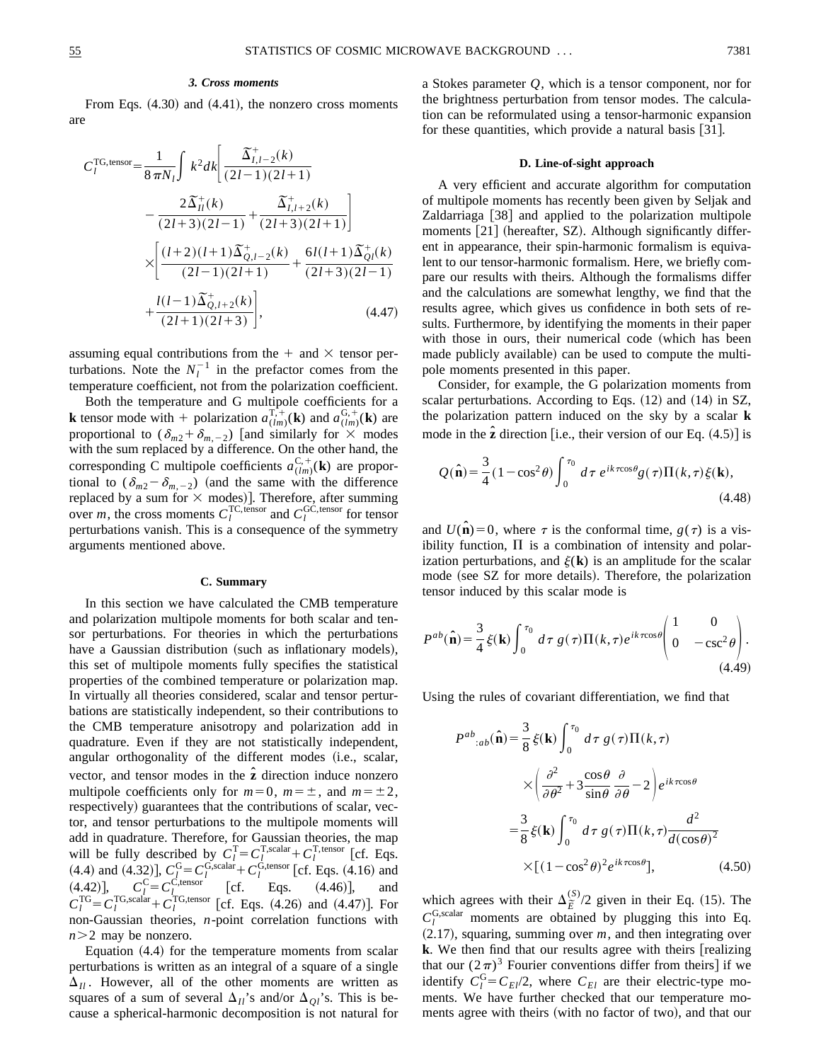#### *3. Cross moments*

From Eqs.  $(4.30)$  and  $(4.41)$ , the nonzero cross moments are

$$
C_{l}^{\text{TG, tensor}} = \frac{1}{8 \pi N_{l}} \int k^{2} dk \left[ \frac{\tilde{\Delta}_{I,l-2}^{+}(k)}{(2l-1)(2l+1)} - \frac{2\tilde{\Delta}_{II}^{+}(k)}{(2l+3)(2l-1)} + \frac{\tilde{\Delta}_{I,l+2}^{+}(k)}{(2l+3)(2l+1)} \right] \times \left[ \frac{(l+2)(l+1)\tilde{\Delta}_{Q,l-2}^{+}(k)}{(2l-1)(2l+1)} + \frac{6l(l+1)\tilde{\Delta}_{Q,l}^{+}(k)}{(2l+3)(2l-1)} + \frac{l(l-1)\tilde{\Delta}_{Q,l+2}^{+}(k)}{(2l+1)(2l+3)} \right], \tag{4.47}
$$

assuming equal contributions from the  $+$  and  $\times$  tensor perturbations. Note the  $N_l^{-1}$  in the prefactor comes from the temperature coefficient, not from the polarization coefficient.

Both the temperature and G multipole coefficients for a **k** tensor mode with + polarization  $a_{(lm)}^{T,+}(\mathbf{k})$  and  $a_{(lm)}^{G,+}(\mathbf{k})$  are proportional to  $(\delta_{m2}+\delta_{m,-2})$  [and similarly for  $\times$  modes with the sum replaced by a difference. On the other hand, the corresponding C multipole coefficients  $a_{(lm)}^{C,+}(\mathbf{k})$  are proportional to  $(\delta_{m2}-\delta_{m,-2})$  (and the same with the difference replaced by a sum for  $\times$  modes)]. Therefore, after summing over *m*, the cross moments  $C_l^{\text{TC, tensor}}$  and  $C_l^{\text{GC, tensor}}$  for tensor perturbations vanish. This is a consequence of the symmetry arguments mentioned above.

## **C. Summary**

In this section we have calculated the CMB temperature and polarization multipole moments for both scalar and tensor perturbations. For theories in which the perturbations have a Gaussian distribution (such as inflationary models), this set of multipole moments fully specifies the statistical properties of the combined temperature or polarization map. In virtually all theories considered, scalar and tensor perturbations are statistically independent, so their contributions to the CMB temperature anisotropy and polarization add in quadrature. Even if they are not statistically independent, angular orthogonality of the different modes (i.e., scalar, vector, and tensor modes in the **zˆ** direction induce nonzero multipole coefficients only for  $m=0$ ,  $m=\pm$ , and  $m=\pm 2$ , respectively) guarantees that the contributions of scalar, vector, and tensor perturbations to the multipole moments will add in quadrature. Therefore, for Gaussian theories, the map will be fully described by  $C_l^{\text{T}} = C_l^{\text{T},\text{scalar}} + C_l^{\text{T},\text{tensor}}$  [cf. Eqs.  $(4.4)$  and  $(4.32)$ ],  $C_l^G = C_l^{G,\text{scalar}} + C_l^{G,\text{tensor}}$  [cf. Eqs.  $(4.16)$  and  $(4.42)$ ],  $C_l^C = C_{l}^{C,\text{tensor}}$  [cf. Eqs.  $(4.46)$ ], and  $C_l^{\text{TG}} = C_l^{\text{TG},\text{scalar}} + C_l^{\text{TG},\text{tensor}}$  [cf. Eqs. (4.26) and (4.47)]. For non-Gaussian theories, *n*-point correlation functions with  $n > 2$  may be nonzero.

Equation  $(4.4)$  for the temperature moments from scalar perturbations is written as an integral of a square of a single  $\Delta_{II}$ . However, all of the other moments are written as squares of a sum of several  $\Delta_{II}$ 's and/or  $\Delta_{OI}$ 's. This is because a spherical-harmonic decomposition is not natural for a Stokes parameter *Q*, which is a tensor component, nor for the brightness perturbation from tensor modes. The calculation can be reformulated using a tensor-harmonic expansion for these quantities, which provide a natural basis  $[31]$ .

## **D. Line-of-sight approach**

A very efficient and accurate algorithm for computation of multipole moments has recently been given by Seljak and Zaldarriaga [38] and applied to the polarization multipole moments  $[21]$  (hereafter, SZ). Although significantly different in appearance, their spin-harmonic formalism is equivalent to our tensor-harmonic formalism. Here, we briefly compare our results with theirs. Although the formalisms differ and the calculations are somewhat lengthy, we find that the results agree, which gives us confidence in both sets of results. Furthermore, by identifying the moments in their paper with those in ours, their numerical code (which has been made publicly available) can be used to compute the multipole moments presented in this paper.

Consider, for example, the G polarization moments from scalar perturbations. According to Eqs.  $(12)$  and  $(14)$  in SZ, the polarization pattern induced on the sky by a scalar **k** mode in the  $\hat{z}$  direction [i.e., their version of our Eq.  $(4.5)$ ] is

$$
Q(\hat{\mathbf{n}}) = \frac{3}{4} (1 - \cos^2 \theta) \int_0^{\tau_0} d\tau \ e^{ik\tau \cos \theta} g(\tau) \Pi(k, \tau) \xi(\mathbf{k}),
$$
\n(4.48)

and  $U(\hat{\bf n})=0$ , where  $\tau$  is the conformal time,  $g(\tau)$  is a visibility function,  $\Pi$  is a combination of intensity and polarization perturbations, and  $\xi(\mathbf{k})$  is an amplitude for the scalar mode (see SZ for more details). Therefore, the polarization tensor induced by this scalar mode is

$$
P^{ab}(\hat{\mathbf{n}}) = \frac{3}{4} \xi(\mathbf{k}) \int_0^{\tau_0} d\tau \ g(\tau) \Pi(k,\tau) e^{ik\tau \cos\theta} \begin{pmatrix} 1 & 0 \\ 0 & -\csc^2\theta \end{pmatrix}.
$$
\n(4.49)

Using the rules of covariant differentiation, we find that

$$
P^{ab}{}_{:ab}(\hat{\mathbf{n}}) = \frac{3}{8} \xi(\mathbf{k}) \int_0^{\tau_0} d\tau \ g(\tau) \Pi(k, \tau)
$$

$$
\times \left(\frac{\partial^2}{\partial \theta^2} + 3 \frac{\cos \theta}{\sin \theta} \frac{\partial}{\partial \theta} - 2\right) e^{ik\tau \cos \theta}
$$

$$
= \frac{3}{8} \xi(\mathbf{k}) \int_0^{\tau_0} d\tau \ g(\tau) \Pi(k, \tau) \frac{d^2}{d(\cos \theta)^2}
$$

$$
\times [(1 - \cos^2 \theta)^2 e^{ik\tau \cos \theta}], \tag{4.50}
$$

which agrees with their  $\Delta_{\tilde{E}}^{(S)}/2$  given in their Eq. (15). The  $C_l^{\text{G,scalar}}$  moments are obtained by plugging this into Eq.  $(2.17)$ , squaring, summing over *m*, and then integrating over **k**. We then find that our results agree with theirs [realizing that our  $(2\pi)^3$  Fourier conventions differ from theirs] if we identify  $C_l^G = C_{El}/2$ , where  $C_{El}$  are their electric-type moments. We have further checked that our temperature moments agree with theirs (with no factor of two), and that our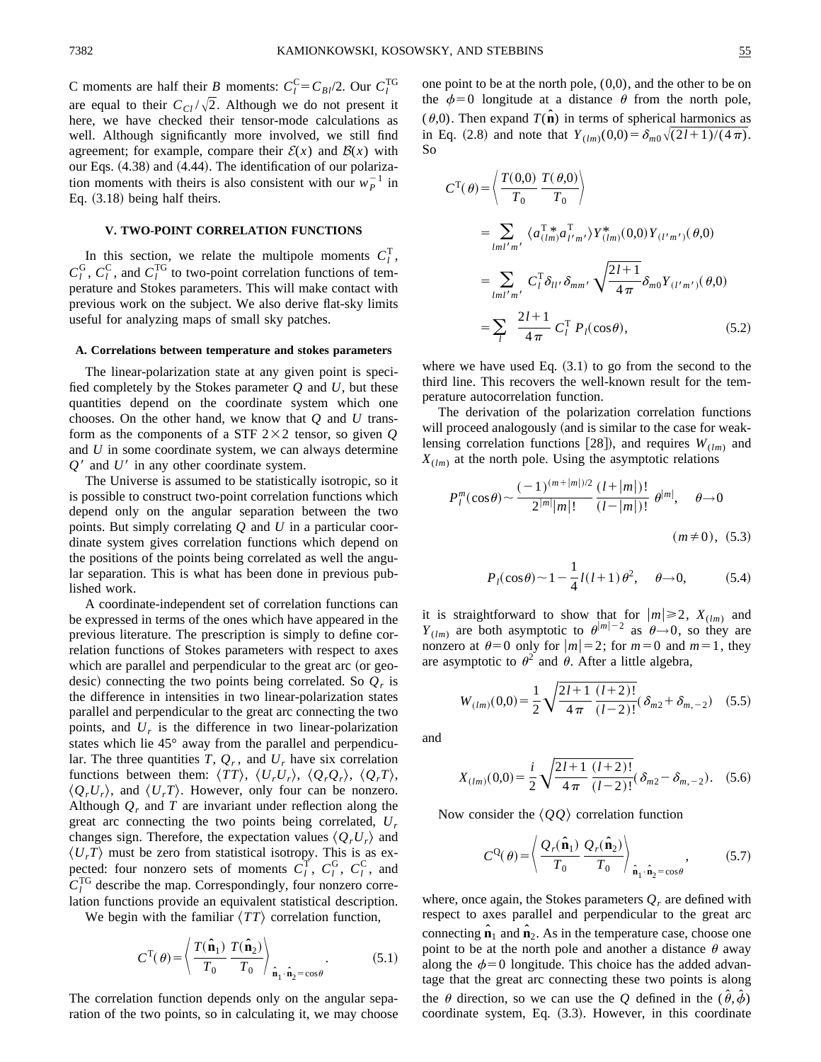C moments are half their *B* moments:  $C_l^C = C_{B_l}/2$ . Our  $C_l^{TG}$ are equal to their  $C_{Cl}/\sqrt{2}$ . Although we do not present it here, we have checked their tensor-mode calculations as well. Although significantly more involved, we still find agreement; for example, compare their  $\mathcal{E}(x)$  and  $\mathcal{B}(x)$  with our Eqs.  $(4.38)$  and  $(4.44)$ . The identification of our polarization moments with theirs is also consistent with our  $w_p^{-1}$  in Eq.  $(3.18)$  being half theirs.

## **V. TWO-POINT CORRELATION FUNCTIONS**

In this section, we relate the multipole moments  $C_l^T$ ,  $C_l^G$ ,  $C_l^C$ , and  $C_l^{TG}$  to two-point correlation functions of temperature and Stokes parameters. This will make contact with previous work on the subject. We also derive flat-sky limits useful for analyzing maps of small sky patches.

## **A. Correlations between temperature and stokes parameters**

The linear-polarization state at any given point is specified completely by the Stokes parameter *Q* and *U*, but these quantities depend on the coordinate system which one chooses. On the other hand, we know that *Q* and *U* transform as the components of a STF  $2\times2$  tensor, so given *Q* and *U* in some coordinate system, we can always determine  $Q'$  and  $U'$  in any other coordinate system.

The Universe is assumed to be statistically isotropic, so it is possible to construct two-point correlation functions which depend only on the angular separation between the two points. But simply correlating *Q* and *U* in a particular coordinate system gives correlation functions which depend on the positions of the points being correlated as well the angular separation. This is what has been done in previous published work.

A coordinate-independent set of correlation functions can be expressed in terms of the ones which have appeared in the previous literature. The prescription is simply to define correlation functions of Stokes parameters with respect to axes which are parallel and perpendicular to the great arc (or geodesic) connecting the two points being correlated. So  $Q<sub>r</sub>$  is the difference in intensities in two linear-polarization states parallel and perpendicular to the great arc connecting the two points, and  $U_r$  is the difference in two linear-polarization states which lie 45° away from the parallel and perpendicular. The three quantities  $T$ ,  $Q_r$ , and  $U_r$  have six correlation functions between them:  $\langle TT \rangle$ ,  $\langle U_r U_r \rangle$ ,  $\langle Q_r Q_r \rangle$ ,  $\langle Q_r T \rangle$ ,  $\langle Q_rU_r\rangle$ , and  $\langle U_rT\rangle$ . However, only four can be nonzero. Although  $Q_r$  and *T* are invariant under reflection along the great arc connecting the two points being correlated, *Ur* changes sign. Therefore, the expectation values  $\langle Q_r U_r \rangle$  and  $\langle U_rT\rangle$  must be zero from statistical isotropy. This is as expected: four nonzero sets of moments  $C_l^T$ ,  $C_l^G$ ,  $C_l^C$ , and  $C_l^{\text{TG}}$  describe the map. Correspondingly, four nonzero correlation functions provide an equivalent statistical description.

We begin with the familiar  $\langle TT \rangle$  correlation function,

$$
C^{T}(\theta) = \left\langle \frac{T(\hat{\mathbf{n}}_1)}{T_0} \frac{T(\hat{\mathbf{n}}_2)}{T_0} \right\rangle_{\hat{\mathbf{n}}_1 \cdot \hat{\mathbf{n}}_2 = \cos \theta}.
$$
 (5.1)

The correlation function depends only on the angular separation of the two points, so in calculating it, we may choose one point to be at the north pole, (0,0), and the other to be on the  $\phi=0$  longitude at a distance  $\theta$  from the north pole, ( $\theta$ ,0). Then expand  $T(\hat{\bf{n}})$  in terms of spherical harmonics as in Eq. (2.8) and note that  $Y_{(lm)}(0,0) = \delta_{m0}\sqrt{(2l+1)/(4\pi)}$ . So

$$
C^{T}(\theta) = \left\langle \frac{T(0,0)}{T_0} \frac{T(\theta,0)}{T_0} \right\rangle
$$
  
= 
$$
\sum_{lml'm'} \left\langle a_{(lm)}^{T} a_{l'm'}^{T} \right\rangle Y_{(lm)}^{*}(0,0) Y_{(l'm')}(\theta,0)
$$
  
= 
$$
\sum_{lml'm'} C_{l}^{T} \delta_{ll'} \delta_{mm'} \sqrt{\frac{2l+1}{4\pi}} \delta_{m0} Y_{(l'm')}(\theta,0)
$$
  
= 
$$
\sum_{l} \frac{2l+1}{4\pi} C_{l}^{T} P_{l}(\cos\theta), \qquad (5.2)
$$

where we have used Eq.  $(3.1)$  to go from the second to the third line. This recovers the well-known result for the temperature autocorrelation function.

The derivation of the polarization correlation functions will proceed analogously (and is similar to the case for weaklensing correlation functions [28]), and requires  $W_{(lm)}$  and  $X_{(lm)}$  at the north pole. Using the asymptotic relations

$$
P_l^m(\cos\theta) \sim \frac{(-1)^{(m+|m|)/2}}{2^{|m|}|m|!} \frac{(l+|m|)!}{(l-|m|)!} \theta^{|m|}, \quad \theta \to 0
$$
  
( $m \neq 0$ ), (5.3)

$$
P_l(\cos\theta) \sim 1 - \frac{1}{4}l(l+1)\theta^2, \quad \theta \to 0,
$$
 (5.4)

it is straightforward to show that for  $|m| \ge 2$ ,  $X_{(lm)}$  and *Y*<sub>(*lm*)</sub> are both asymptotic to  $\theta^{|m|-2}$  as  $\theta \rightarrow 0$ , so they are nonzero at  $\theta=0$  only for  $|m|=2$ ; for  $m=0$  and  $m=1$ , they are asymptotic to  $\theta^2$  and  $\theta$ . After a little algebra,

$$
W_{(lm)}(0,0) = \frac{1}{2} \sqrt{\frac{2l+1}{4\pi} \frac{(l+2)!}{(l-2)!}} (\delta_{m2} + \delta_{m,-2})
$$
 (5.5)

and

$$
X_{(lm)}(0,0) = \frac{i}{2} \sqrt{\frac{2l+1}{4\pi} \frac{(l+2)!}{(l-2)!}} (\delta_{m2} - \delta_{m,-2}).
$$
 (5.6)

Now consider the  $\langle \mathcal{Q} \mathcal{Q} \rangle$  correlation function

$$
C^{Q}(\theta) = \left\langle \frac{\mathcal{Q}_r(\hat{\mathbf{n}}_1)}{T_0} \frac{\mathcal{Q}_r(\hat{\mathbf{n}}_2)}{T_0} \right\rangle_{\hat{\mathbf{n}}_1 \cdot \hat{\mathbf{n}}_2 = \cos \theta}, \quad (5.7)
$$

where, once again, the Stokes parameters  $Q_r$  are defined with respect to axes parallel and perpendicular to the great arc connecting  $\hat{\mathbf{n}}_1$  and  $\hat{\mathbf{n}}_2$ . As in the temperature case, choose one point to be at the north pole and another a distance  $\theta$  away along the  $\phi=0$  longitude. This choice has the added advantage that the great arc connecting these two points is along the  $\theta$  direction, so we can use the *Q* defined in the  $(\hat{\theta}, \hat{\phi})$ coordinate system, Eq.  $(3.3)$ . However, in this coordinate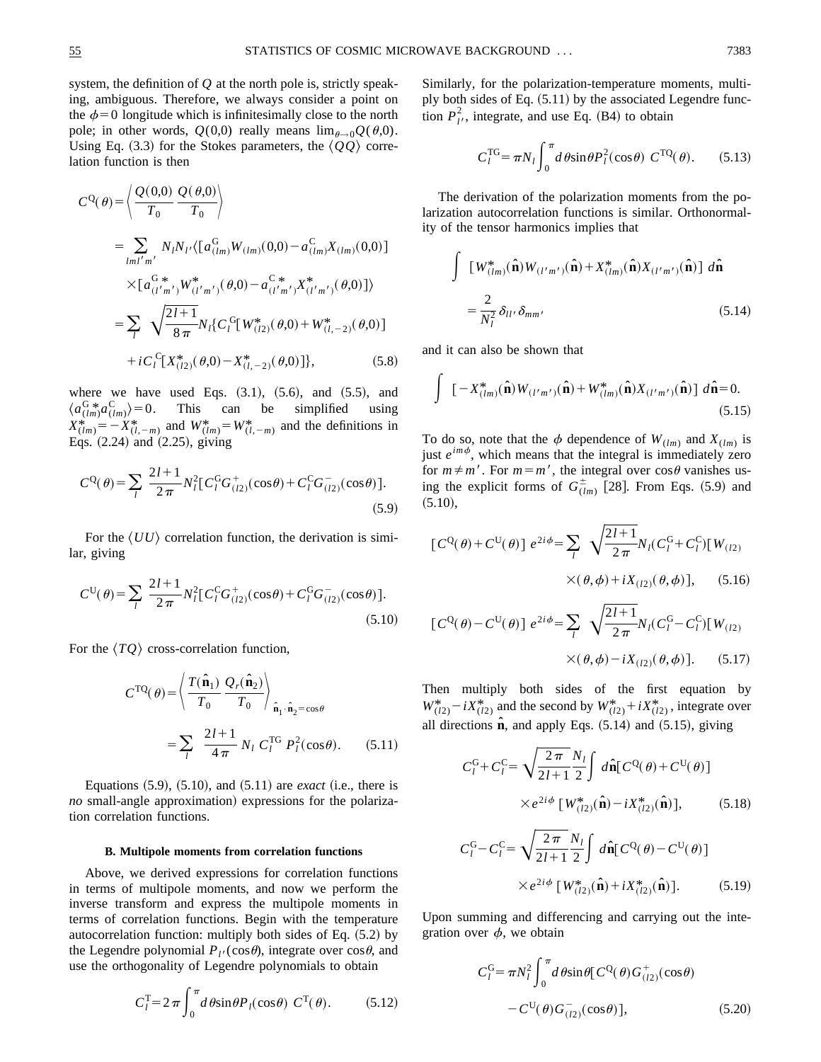system, the definition of *Q* at the north pole is, strictly speaking, ambiguous. Therefore, we always consider a point on the  $\phi$ =0 longitude which is infinitesimally close to the north pole; in other words,  $Q(0,0)$  really means  $\lim_{\theta \to 0} Q(\theta,0)$ . Using Eq. (3.3) for the Stokes parameters, the  $\langle QQ \rangle$  correlation function is then

$$
C^{Q}(\theta) = \left\langle \frac{Q(0,0)}{T_0} \frac{Q(\theta,0)}{T_0} \right\rangle
$$
  
= 
$$
\sum_{lml'm'} N_l N_{l'} \langle \left[a_{(lm)}^G W_{(lm)}(0,0) - a_{(lm)}^C X_{(lm)}(0,0)\right]
$$
  

$$
\times \left[a_{(l'm')}^G W_{(l'm')}^* (\theta,0) - a_{(l'm')}^C X_{(l'm')}^* (\theta,0)\right]\rangle
$$
  
= 
$$
\sum_{l} \sqrt{\frac{2l+1}{8\pi}} N_l \{C_l^G [W_{(l2)}^*(\theta,0) + W_{(l,-2)}^*(\theta,0)]
$$
  
+ 
$$
iC_l^C [X_{(l2)}^*(\theta,0) - X_{(l,-2)}^*(\theta,0)]\}, \qquad (5.8)
$$

where we have used Eqs.  $(3.1)$ ,  $(5.6)$ , and  $(5.5)$ , and  $\langle a_{(lm)}^{\text{G} *} a_{(lm)}^{\text{C}} \rangle = 0$ . This can be simplified using  $X^*_{(lm)} = -X^*_{(l,-m)}$  and  $W^*_{(lm)} = W^*_{(l,-m)}$  and the definitions in Eqs.  $(2.24)$  and  $(2.25)$ , giving

$$
C^{Q}(\theta) = \sum_{l} \frac{2l+1}{2\pi} N_{l}^{2} [C_{l}^{G} G_{(l2)}^{+}(\cos \theta) + C_{l}^{C} G_{(l2)}^{-}(\cos \theta)].
$$
\n(5.9)

For the  $\langle UU \rangle$  correlation function, the derivation is similar, giving

$$
C^{U}(\theta) = \sum_{l} \frac{2l+1}{2\pi} N_{l}^{2} [C_{l}^{C} G_{(l2)}^{+}(\cos \theta) + C_{l}^{G} G_{(l2)}^{-}(\cos \theta)].
$$
\n(5.10)

For the  $\langle TQ \rangle$  cross-correlation function,

$$
C^{TQ}(\theta) = \left\langle \frac{T(\hat{\mathbf{n}}_1)}{T_0} \frac{Q_r(\hat{\mathbf{n}}_2)}{T_0} \right\rangle_{\hat{\mathbf{n}}_1 \cdot \hat{\mathbf{n}}_2 = \cos \theta}
$$

$$
= \sum_{l} \frac{2l+1}{4\pi} N_l C_l^{TG} P_l^2(\cos \theta). \qquad (5.11)
$$

Equations  $(5.9)$ ,  $(5.10)$ , and  $(5.11)$  are *exact*  $(i.e.,$  there is *no* small-angle approximation) expressions for the polarization correlation functions.

#### **B. Multipole moments from correlation functions**

Above, we derived expressions for correlation functions in terms of multipole moments, and now we perform the inverse transform and express the multipole moments in terms of correlation functions. Begin with the temperature autocorrelation function: multiply both sides of Eq.  $(5.2)$  by the Legendre polynomial  $P_{l'}(\cos\theta)$ , integrate over  $\cos\theta$ , and use the orthogonality of Legendre polynomials to obtain

$$
C_l^{\mathrm{T}} = 2\pi \int_0^{\pi} d\theta \sin\theta P_l(\cos\theta) \ C^{\mathrm{T}}(\theta). \tag{5.12}
$$

Similarly, for the polarization-temperature moments, multiply both sides of Eq.  $(5.11)$  by the associated Legendre function  $P_{l'}^2$ , integrate, and use Eq. (B4) to obtain

$$
C_l^{\text{TG}} = \pi N_l \int_0^{\pi} d\theta \sin\theta P_l^2(\cos\theta) \ C^{\text{TQ}}(\theta). \tag{5.13}
$$

The derivation of the polarization moments from the polarization autocorrelation functions is similar. Orthonormality of the tensor harmonics implies that

$$
\int [W^*_{(lm)}(\hat{\mathbf{n}})W_{(l'm')}(\hat{\mathbf{n}}) + X^*_{(lm)}(\hat{\mathbf{n}})X_{(l'm')}(\hat{\mathbf{n}})] d\hat{\mathbf{n}} \n= \frac{2}{N_l^2} \delta_{ll'} \delta_{mm'}
$$
\n(5.14)

and it can also be shown that

$$
\int [ -X_{(lm)}^*(\hat{\mathbf{n}}) W_{(l'm')}(\hat{\mathbf{n}}) + W_{(lm)}^*(\hat{\mathbf{n}}) X_{(l'm')}(\hat{\mathbf{n}}) ] d\hat{\mathbf{n}} = 0.
$$
\n(5.15)

To do so, note that the  $\phi$  dependence of  $W_{(lm)}$  and  $X_{(lm)}$  is just  $e^{im\phi}$ , which means that the integral is immediately zero for  $m \neq m'$ . For  $m = m'$ , the integral over cos $\theta$  vanishes using the explicit forms of  $G^{\pm}_{(lm)}$  [28]. From Eqs. (5.9) and  $(5.10),$ 

$$
\begin{aligned} \left[C^{Q}(\theta) + C^{U}(\theta)\right] e^{2i\phi} &= \sum_{l} \sqrt{\frac{2l+1}{2\pi}} N_{l} \left(C_{l}^{G} + C_{l}^{C}\right) \left[W_{(l2)}\right] \\ &\times (\theta, \phi) + i X_{(l2)}(\theta, \phi)\right], \qquad (5.16) \end{aligned}
$$

$$
\begin{aligned} \left[C^{Q}(\theta) - C^{U}(\theta)\right] e^{2i\phi} &= \sum_{l} \sqrt{\frac{2l+1}{2\pi}} N_{l} \left(C_{l}^{G} - C_{l}^{C}\right) \left[W_{(l2)}\right] \\ &\times (\theta, \phi) - i X_{(l2)}(\theta, \phi)\right]. \end{aligned} \tag{5.17}
$$

Then multiply both sides of the first equation by  $W^*_{(12)} - iX^*_{(12)}$  and the second by  $W^*_{(12)} + iX^*_{(12)}$ , integrate over all directions  $\hat{\bf{n}}$ , and apply Eqs.  $(5.14)$  and  $(5.15)$ , giving

$$
C_{l}^{\text{G}} + C_{l}^{\text{C}} = \sqrt{\frac{2\,\pi}{2\,l+1}} \frac{N_{l}}{2} \int d\hat{\mathbf{n}} [C^{\text{Q}}(\theta) + C^{\text{U}}(\theta)]
$$

$$
\times e^{2i\phi} [W_{(l2)}^{*}(\hat{\mathbf{n}}) - iX_{(l2)}^{*}(\hat{\mathbf{n}})], \qquad (5.18)
$$

$$
C_l^{\text{G}} - C_l^{\text{C}} = \sqrt{\frac{2\,\pi}{2l+1}} \frac{N_l}{2} \int d\hat{\mathbf{n}} [C^{\text{Q}}(\theta) - C^{\text{U}}(\theta)]
$$
  
 
$$
\times e^{2i\phi} [W_{(l2)}^*(\hat{\mathbf{n}}) + iX_{(l2)}^*(\hat{\mathbf{n}})]. \tag{5.19}
$$

Upon summing and differencing and carrying out the integration over  $\phi$ , we obtain

$$
C_l^{\text{G}} = \pi N_l^2 \int_0^{\pi} d\theta \sin\theta [C^{\text{Q}}(\theta) G^+_{(l2)}(\cos\theta)
$$

$$
- C^{\text{U}}(\theta) G^-_{(l2)}(\cos\theta)], \qquad (5.20)
$$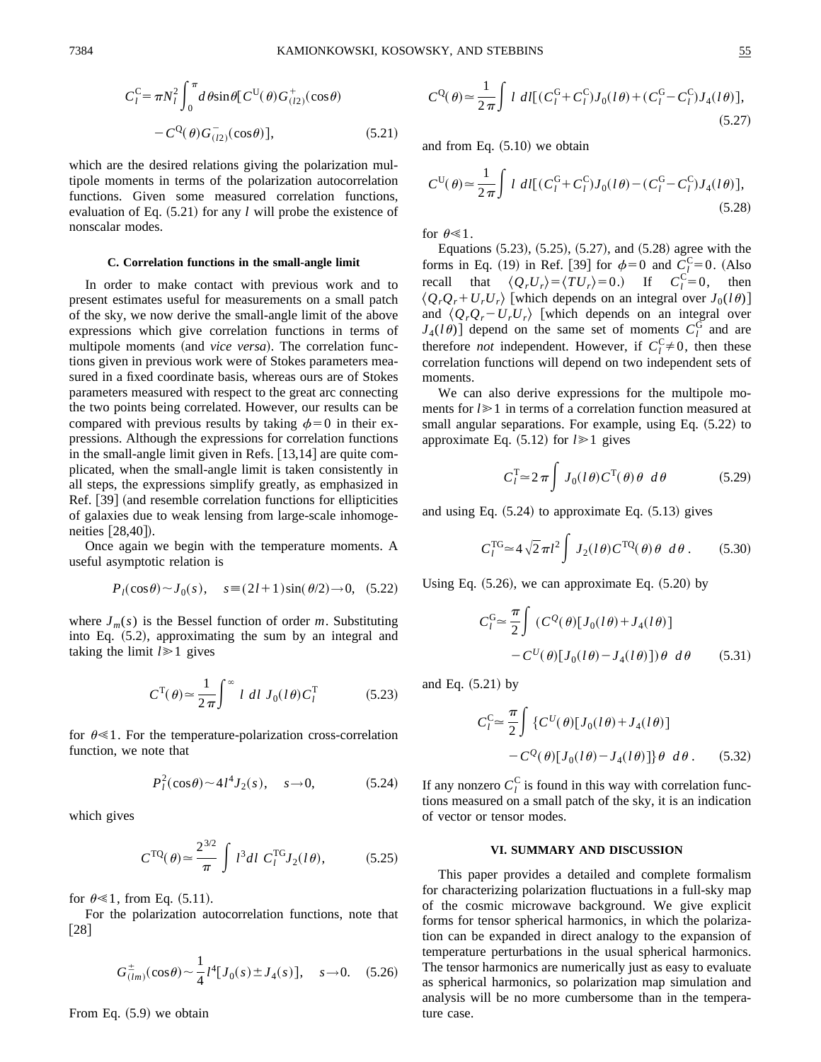$$
C_l^{\text{C}} = \pi N_l^2 \int_0^{\pi} d\theta \sin\theta \left[ C^{\text{U}}(\theta) G^{\dagger}_{(l2)}(\cos\theta) - C^{\text{Q}}(\theta) G^{\dagger}_{(l2)}(\cos\theta) \right],
$$
 (5.21)

which are the desired relations giving the polarization multipole moments in terms of the polarization autocorrelation functions. Given some measured correlation functions, evaluation of Eq.  $(5.21)$  for any *l* will probe the existence of nonscalar modes.

## **C. Correlation functions in the small-angle limit**

In order to make contact with previous work and to present estimates useful for measurements on a small patch of the sky, we now derive the small-angle limit of the above expressions which give correlation functions in terms of multipole moments (and *vice versa*). The correlation functions given in previous work were of Stokes parameters measured in a fixed coordinate basis, whereas ours are of Stokes parameters measured with respect to the great arc connecting the two points being correlated. However, our results can be compared with previous results by taking  $\phi=0$  in their expressions. Although the expressions for correlation functions in the small-angle limit given in Refs.  $[13,14]$  are quite complicated, when the small-angle limit is taken consistently in all steps, the expressions simplify greatly, as emphasized in Ref. [39] (and resemble correlation functions for ellipticities of galaxies due to weak lensing from large-scale inhomogeneities  $[28,40]$ .

Once again we begin with the temperature moments. A useful asymptotic relation is

$$
P_l(\cos\theta) \sim J_0(s), \quad s \equiv (2l+1)\sin(\theta/2) \to 0, \quad (5.22)
$$

where  $J_m(s)$  is the Bessel function of order *m*. Substituting into Eq.  $(5.2)$ , approximating the sum by an integral and taking the limit  $l \ge 1$  gives

$$
C^{T}(\theta) \approx \frac{1}{2\pi} \int^{\infty} l \, dl \, J_0(l\theta) C_l^{T} \tag{5.23}
$$

for  $\theta \ll 1$ . For the temperature-polarization cross-correlation function, we note that

$$
P_l^2(\cos\theta) \sim 4l^4 J_2(s), \quad s \to 0,
$$
 (5.24)

which gives

$$
C^{TQ}(\theta) \approx \frac{2^{3/2}}{\pi} \int l^3 dl \ C_l^{TG} J_2(l\theta), \qquad (5.25)
$$

for  $\theta \ll 1$ , from Eq. (5.11).

For the polarization autocorrelation functions, note that  $[28]$ 

$$
G^{\pm}_{(lm)}(\cos\theta) \sim \frac{1}{4} l^4 [J_0(s) \pm J_4(s)], \quad s \to 0.
$$
 (5.26)

From Eq.  $(5.9)$  we obtain

$$
C^{Q}(\theta) \approx \frac{1}{2\pi} \int l \ dl [(C_{l}^{G} + C_{l}^{C})J_{0}(l\theta) + (C_{l}^{G} - C_{l}^{C})J_{4}(l\theta)],
$$
\n(5.27)

and from Eq.  $(5.10)$  we obtain

$$
C^{U}(\theta) \approx \frac{1}{2\pi} \int l \ dl [(C_{l}^{G} + C_{l}^{C})J_{0}(l\theta) - (C_{l}^{G} - C_{l}^{C})J_{4}(l\theta)],
$$
\n(5.28)

for  $\theta \ll 1$ .

Equations  $(5.23)$ ,  $(5.25)$ ,  $(5.27)$ , and  $(5.28)$  agree with the forms in Eq. (19) in Ref. [39] for  $\phi = 0$  and  $\dot{C}_l^C = 0$ . (Also recall that  $\langle Q_r U_r \rangle = \langle T U_r \rangle = 0.$  If  $C_l^C = 0$ , then  $\langle Q_rQ_r+U_rU_r\rangle$  [which depends on an integral over *J*<sub>0</sub>(*l* $\theta$ )] and  $\langle Q_rQ_r-U_rU_r\rangle$  [which depends on an integral over  $J_4(l\theta)$  depend on the same set of moments  $C_l^G$  and are therefore *not* independent. However, if  $C_l^C \neq 0$ , then these correlation functions will depend on two independent sets of moments.

We can also derive expressions for the multipole moments for  $l \ge 1$  in terms of a correlation function measured at small angular separations. For example, using Eq.  $(5.22)$  to approximate Eq.  $(5.12)$  for  $l \ge 1$  gives

$$
C_l^{\mathrm{T}} \simeq 2\pi \int J_0(l\theta) C^{\mathrm{T}}(\theta) \theta \ d\theta \tag{5.29}
$$

and using Eq.  $(5.24)$  to approximate Eq.  $(5.13)$  gives

$$
C_l^{\text{TG}} \simeq 4\sqrt{2}\,\pi l^2 \int J_2(l\,\theta) C^{\text{TQ}}(\,\theta)\,\theta \, d\theta \,. \tag{5.30}
$$

Using Eq.  $(5.26)$ , we can approximate Eq.  $(5.20)$  by

$$
C_l^{\mathcal{G}} \approx \frac{\pi}{2} \int \left( C^{\mathcal{Q}}(\theta) [J_0(l\theta) + J_4(l\theta)] - C^{\mathcal{U}}(\theta) [J_0(l\theta) - J_4(l\theta)] \right) \theta \ d\theta \qquad (5.31)
$$

and Eq.  $(5.21)$  by

$$
C_l^{\mathcal{C}} \approx \frac{\pi}{2} \int \left\{ C^U(\theta) [J_0(l\theta) + J_4(l\theta)] - C^Q(\theta) [J_0(l\theta) - J_4(l\theta)] \right\} \theta \ d\theta. \tag{5.32}
$$

If any nonzero  $C_l^C$  is found in this way with correlation functions measured on a small patch of the sky, it is an indication of vector or tensor modes.

## **VI. SUMMARY AND DISCUSSION**

This paper provides a detailed and complete formalism for characterizing polarization fluctuations in a full-sky map of the cosmic microwave background. We give explicit forms for tensor spherical harmonics, in which the polarization can be expanded in direct analogy to the expansion of temperature perturbations in the usual spherical harmonics. The tensor harmonics are numerically just as easy to evaluate as spherical harmonics, so polarization map simulation and analysis will be no more cumbersome than in the temperature case.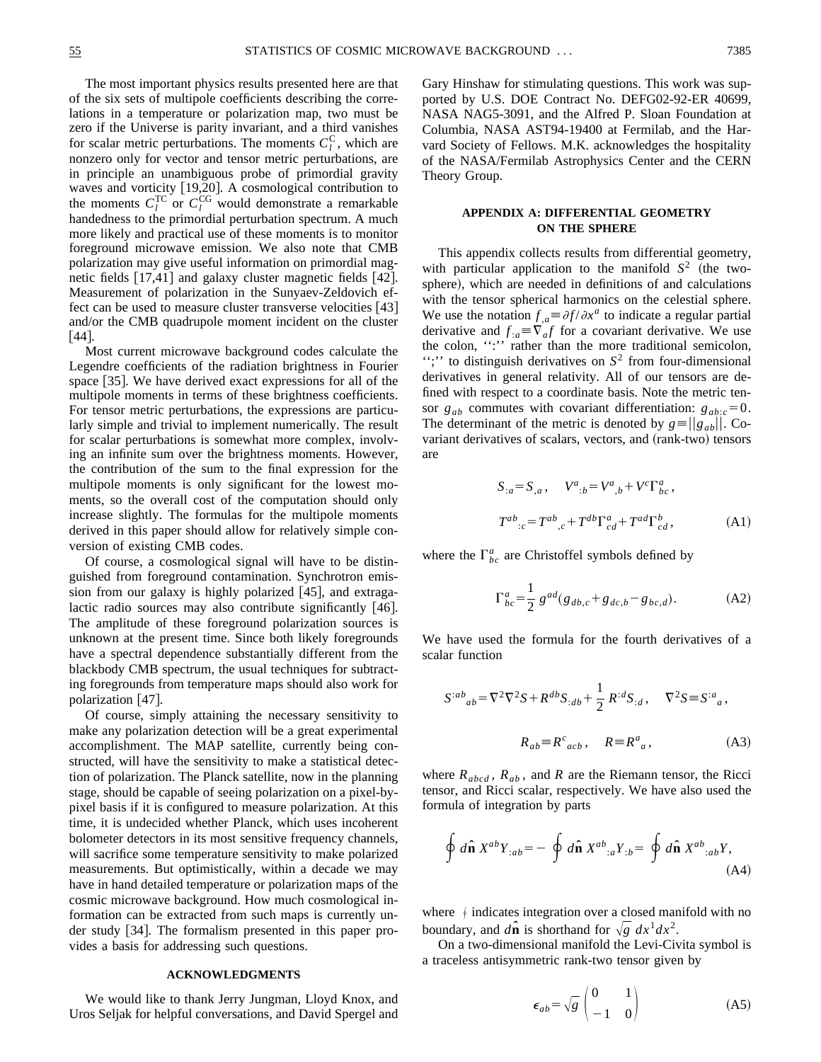The most important physics results presented here are that of the six sets of multipole coefficients describing the correlations in a temperature or polarization map, two must be zero if the Universe is parity invariant, and a third vanishes for scalar metric perturbations. The moments  $C_l^C$ , which are nonzero only for vector and tensor metric perturbations, are in principle an unambiguous probe of primordial gravity waves and vorticity  $[19,20]$ . A cosmological contribution to the moments  $C_l^{\text{TC}}$  or  $C_l^{\text{CG}}$  would demonstrate a remarkable handedness to the primordial perturbation spectrum. A much more likely and practical use of these moments is to monitor foreground microwave emission. We also note that CMB polarization may give useful information on primordial magnetic fields  $[17,41]$  and galaxy cluster magnetic fields  $[42]$ . Measurement of polarization in the Sunyaev-Zeldovich effect can be used to measure cluster transverse velocities  $[43]$ and/or the CMB quadrupole moment incident on the cluster  $[44]$ .

Most current microwave background codes calculate the Legendre coefficients of the radiation brightness in Fourier space  $[35]$ . We have derived exact expressions for all of the multipole moments in terms of these brightness coefficients. For tensor metric perturbations, the expressions are particularly simple and trivial to implement numerically. The result for scalar perturbations is somewhat more complex, involving an infinite sum over the brightness moments. However, the contribution of the sum to the final expression for the multipole moments is only significant for the lowest moments, so the overall cost of the computation should only increase slightly. The formulas for the multipole moments derived in this paper should allow for relatively simple conversion of existing CMB codes.

Of course, a cosmological signal will have to be distinguished from foreground contamination. Synchrotron emission from our galaxy is highly polarized  $[45]$ , and extragalactic radio sources may also contribute significantly  $[46]$ . The amplitude of these foreground polarization sources is unknown at the present time. Since both likely foregrounds have a spectral dependence substantially different from the blackbody CMB spectrum, the usual techniques for subtracting foregrounds from temperature maps should also work for polarization  $[47]$ .

Of course, simply attaining the necessary sensitivity to make any polarization detection will be a great experimental accomplishment. The MAP satellite, currently being constructed, will have the sensitivity to make a statistical detection of polarization. The Planck satellite, now in the planning stage, should be capable of seeing polarization on a pixel-bypixel basis if it is configured to measure polarization. At this time, it is undecided whether Planck, which uses incoherent bolometer detectors in its most sensitive frequency channels, will sacrifice some temperature sensitivity to make polarized measurements. But optimistically, within a decade we may have in hand detailed temperature or polarization maps of the cosmic microwave background. How much cosmological information can be extracted from such maps is currently under study [34]. The formalism presented in this paper provides a basis for addressing such questions.

# **ACKNOWLEDGMENTS**

We would like to thank Jerry Jungman, Lloyd Knox, and Uros Seljak for helpful conversations, and David Spergel and Gary Hinshaw for stimulating questions. This work was supported by U.S. DOE Contract No. DEFG02-92-ER 40699, NASA NAG5-3091, and the Alfred P. Sloan Foundation at Columbia, NASA AST94-19400 at Fermilab, and the Harvard Society of Fellows. M.K. acknowledges the hospitality of the NASA/Fermilab Astrophysics Center and the CERN Theory Group.

## **APPENDIX A: DIFFERENTIAL GEOMETRY ON THE SPHERE**

This appendix collects results from differential geometry, with particular application to the manifold  $S^2$  (the twosphere), which are needed in definitions of and calculations with the tensor spherical harmonics on the celestial sphere. We use the notation  $f_{a} \equiv \partial f / \partial x^{a}$  to indicate a regular partial derivative and  $f_{a} = \nabla_a f$  for a covariant derivative. We use the colon, ":" rather than the more traditional semicolon, ";" to distinguish derivatives on  $S^2$  from four-dimensional derivatives in general relativity. All of our tensors are defined with respect to a coordinate basis. Note the metric tensor  $g_{ab}$  commutes with covariant differentiation:  $g_{ab;c} = 0$ . The determinant of the metric is denoted by  $g \equiv ||g_{ab}||$ . Covariant derivatives of scalars, vectors, and (rank-two) tensors are

$$
S_{:a} = S_{,a}, \qquad V^a_{:b} = V^a_{,b} + V^c \Gamma^a_{bc},
$$
  

$$
T^{ab}_{:c} = T^{ab}_{,c} + T^{db} \Gamma^a_{cd} + T^{ad} \Gamma^b_{cd},
$$
 (A1)

where the  $\Gamma^a_{bc}$  are Christoffel symbols defined by

$$
\Gamma_{bc}^a = \frac{1}{2} g^{ad}(g_{db,c} + g_{dc,b} - g_{bc,d}).
$$
 (A2)

We have used the formula for the fourth derivatives of a scalar function

$$
S^{:ab}{}_{ab} = \nabla^2 \nabla^2 S + R^{db} S_{:db} + \frac{1}{2} R^{:d} S_{:d}, \qquad \nabla^2 S = S^{:a}{}_{a},
$$

$$
R_{ab} = R^c{}_{acb}, \qquad R = R^a{}_{a}, \tag{A3}
$$

where *Rabcd* , *Rab* , and *R* are the Riemann tensor, the Ricci tensor, and Ricci scalar, respectively. We have also used the formula of integration by parts

$$
\oint d\hat{\mathbf{n}} \; X^{ab} Y_{:ab} = - \oint d\hat{\mathbf{n}} \; X^{ab}{}_{:a} Y_{:b} = \oint d\hat{\mathbf{n}} \; X^{ab}{}_{:ab} Y,
$$
\n(A4)

where  $\oint$  indicates integration over a closed manifold with no boundary, and  $d\hat{\bf{n}}$  is shorthand for  $\sqrt{g} dx^1 dx^2$ .

On a two-dimensional manifold the Levi-Civita symbol is a traceless antisymmetric rank-two tensor given by

$$
\epsilon_{ab} = \sqrt{g} \begin{pmatrix} 0 & 1 \\ -1 & 0 \end{pmatrix}
$$
 (A5)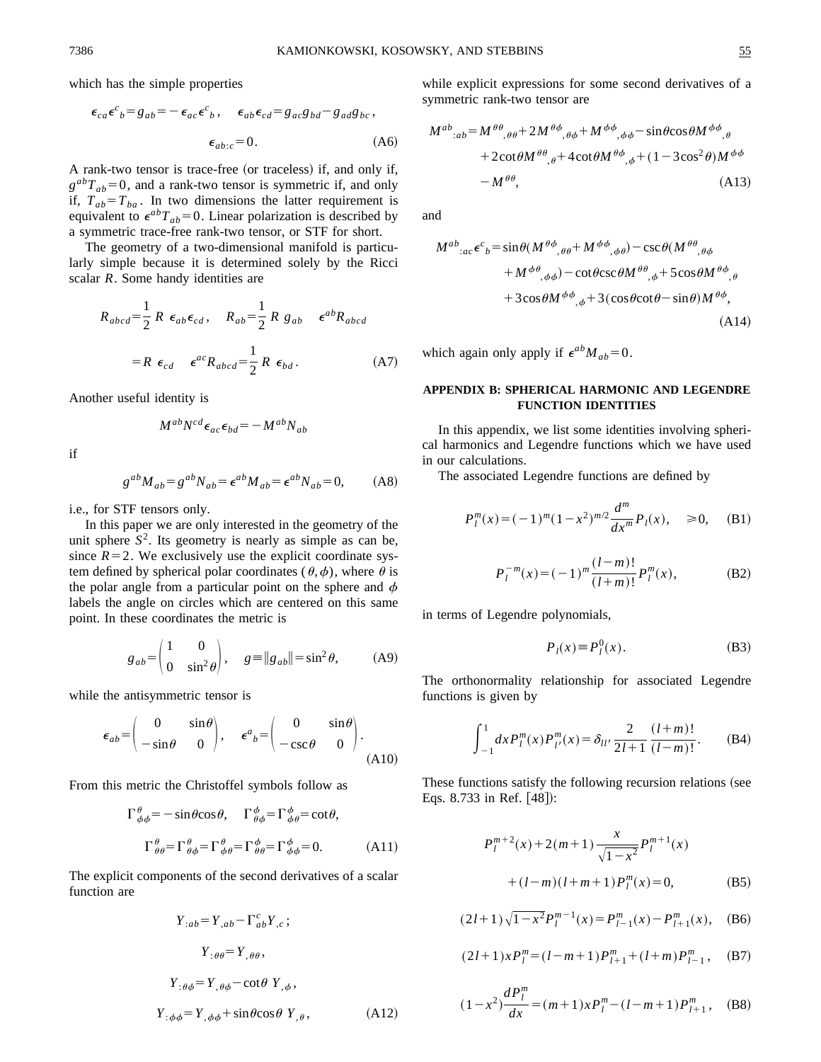which has the simple properties

$$
\epsilon_{ca} \epsilon^c{}_b = g_{ab} = -\epsilon_{ac} \epsilon^c{}_b, \quad \epsilon_{ab} \epsilon_{cd} = g_{ac} g_{bd} - g_{ad} g_{bc},
$$

$$
\epsilon_{ab:c} = 0.
$$
(A6)

A rank-two tensor is trace-free (or traceless) if, and only if,  $g^{ab}T_{ab}=0$ , and a rank-two tensor is symmetric if, and only if,  $T_{ab} = T_{ba}$ . In two dimensions the latter requirement is equivalent to  $\epsilon^{ab}T_{ab}=0$ . Linear polarization is described by a symmetric trace-free rank-two tensor, or STF for short.

The geometry of a two-dimensional manifold is particularly simple because it is determined solely by the Ricci scalar *R*. Some handy identities are

$$
R_{abcd} = \frac{1}{2} R \epsilon_{ab} \epsilon_{cd}, \quad R_{ab} = \frac{1}{2} R g_{ab} \epsilon^{ab} R_{abcd}
$$

$$
= R \epsilon_{cd} \epsilon^{ac} R_{abcd} = \frac{1}{2} R \epsilon_{bd}.
$$
(A7)

Another useful identity is

$$
M^{ab}N^{cd}\epsilon_{ac}\epsilon_{bd} = -M^{ab}N_{ab}
$$

if

$$
g^{ab}M_{ab} = g^{ab}N_{ab} = \epsilon^{ab}M_{ab} = \epsilon^{ab}N_{ab} = 0, \qquad (A8)
$$

i.e., for STF tensors only.

In this paper we are only interested in the geometry of the unit sphere  $S^2$ . Its geometry is nearly as simple as can be, since  $R=2$ . We exclusively use the explicit coordinate system defined by spherical polar coordinates ( $\theta$ , $\phi$ ), where  $\theta$  is the polar angle from a particular point on the sphere and  $\phi$ labels the angle on circles which are centered on this same point. In these coordinates the metric is

$$
g_{ab} = \begin{pmatrix} 1 & 0 \\ 0 & \sin^2 \theta \end{pmatrix}, \quad g = ||g_{ab}|| = \sin^2 \theta, \quad (A9)
$$

while the antisymmetric tensor is

$$
\epsilon_{ab} = \begin{pmatrix} 0 & \sin \theta \\ -\sin \theta & 0 \end{pmatrix}, \quad \epsilon^a{}_b = \begin{pmatrix} 0 & \sin \theta \\ -\csc \theta & 0 \end{pmatrix}.
$$
 (A10)

From this metric the Christoffel symbols follow as

$$
\Gamma^{\theta}_{\phi\phi} = -\sin\theta\cos\theta, \quad \Gamma^{\phi}_{\theta\phi} = \Gamma^{\phi}_{\phi\theta} = \cot\theta,
$$

$$
\Gamma^{\theta}_{\theta\theta} = \Gamma^{\theta}_{\theta\phi} = \Gamma^{\theta}_{\phi\theta} = \Gamma^{\phi}_{\theta\theta} = \Gamma^{\phi}_{\phi\phi} = 0.
$$
(A11)

The explicit components of the second derivatives of a scalar function are

$$
Y_{:ab} = Y_{,ab} - \Gamma^c_{ab} Y_{,c} ;
$$
  
\n
$$
Y_{:\theta\theta} = Y_{,\theta\theta},
$$
  
\n
$$
Y_{:\theta\phi} = Y_{,\theta\phi} - \cot\theta Y_{,\phi},
$$
  
\n
$$
Y_{:\phi\phi} = Y_{,\phi\phi} + \sin\theta\cos\theta Y_{,\theta},
$$
  
\n(A12)

while explicit expressions for some second derivatives of a symmetric rank-two tensor are

$$
M^{ab}{}_{;ab} = M^{\theta\theta}{}_{,\theta\theta} + 2M^{\theta\phi}{}_{,\theta\phi} + M^{\phi\phi}{}_{,\phi\phi} - \sin\theta\cos\theta M^{\phi\phi}{}_{,\theta}
$$
  
+2cot $\theta M^{\theta\theta}{}_{,\theta}$ +4cot $\theta M^{\theta\phi}{}_{,\phi}$ + $(1-3\cos^2\theta)M^{\phi\phi}$   
- $M^{\theta\theta}{}_{,\phi}$  (A13)

and

$$
M^{ab}{}_{;ac}\epsilon^{c}{}_{b} = \sin\theta(M^{\theta\phi}{}_{,\theta\theta} + M^{\phi\phi}{}_{,\phi\theta}) - \csc\theta(M^{\theta\theta}{}_{,\theta\phi} + M^{\phi\theta}{}_{,\phi\phi}) - \cot\theta \csc\theta M^{\theta\theta}{}_{,\phi} + 5\cos\theta M^{\theta\phi}{}_{,\theta} + 3\cos\theta M^{\phi\phi}{}_{,\phi} + 3(\cos\theta \cot\theta - \sin\theta)M^{\theta\phi},
$$
\n(A14)

which again only apply if  $\epsilon^{ab} M_{ab} = 0$ .

# **APPENDIX B: SPHERICAL HARMONIC AND LEGENDRE FUNCTION IDENTITIES**

In this appendix, we list some identities involving spherical harmonics and Legendre functions which we have used in our calculations.

The associated Legendre functions are defined by

$$
P_l^m(x) = (-1)^m (1 - x^2)^{m/2} \frac{d^m}{dx^m} P_l(x), \quad \ge 0,
$$
 (B1)

$$
P_l^{-m}(x) = (-1)^m \frac{(l-m)!}{(l+m)!} P_l^m(x),
$$
 (B2)

in terms of Legendre polynomials,

$$
P_l(x) \equiv P_l^0(x). \tag{B3}
$$

The orthonormality relationship for associated Legendre functions is given by

$$
\int_{-1}^{1} dx P_l^m(x) P_{l'}^m(x) = \delta_{ll'} \frac{2}{2l+1} \frac{(l+m)!}{(l-m)!}.
$$
 (B4)

These functions satisfy the following recursion relations (see Eqs.  $8.733$  in Ref. [48]):

$$
P_l^{m+2}(x) + 2(m+1)\frac{x}{\sqrt{1-x^2}}P_l^{m+1}(x) + (l-m)(l+m+1)P_l^m(x) = 0,
$$
 (B5)

$$
(2l+1)\sqrt{1-x^2}P_l^{m-1}(x) = P_{l-1}^m(x) - P_{l+1}^m(x), \quad (B6)
$$

$$
(2l+1)xP_l^m = (l-m+1)P_{l+1}^m + (l+m)P_{l-1}^m, \quad (B7)
$$

$$
(1-x^2)\frac{dP_l^m}{dx} = (m+1)xP_l^m - (l-m+1)P_{l+1}^m, \quad (B8)
$$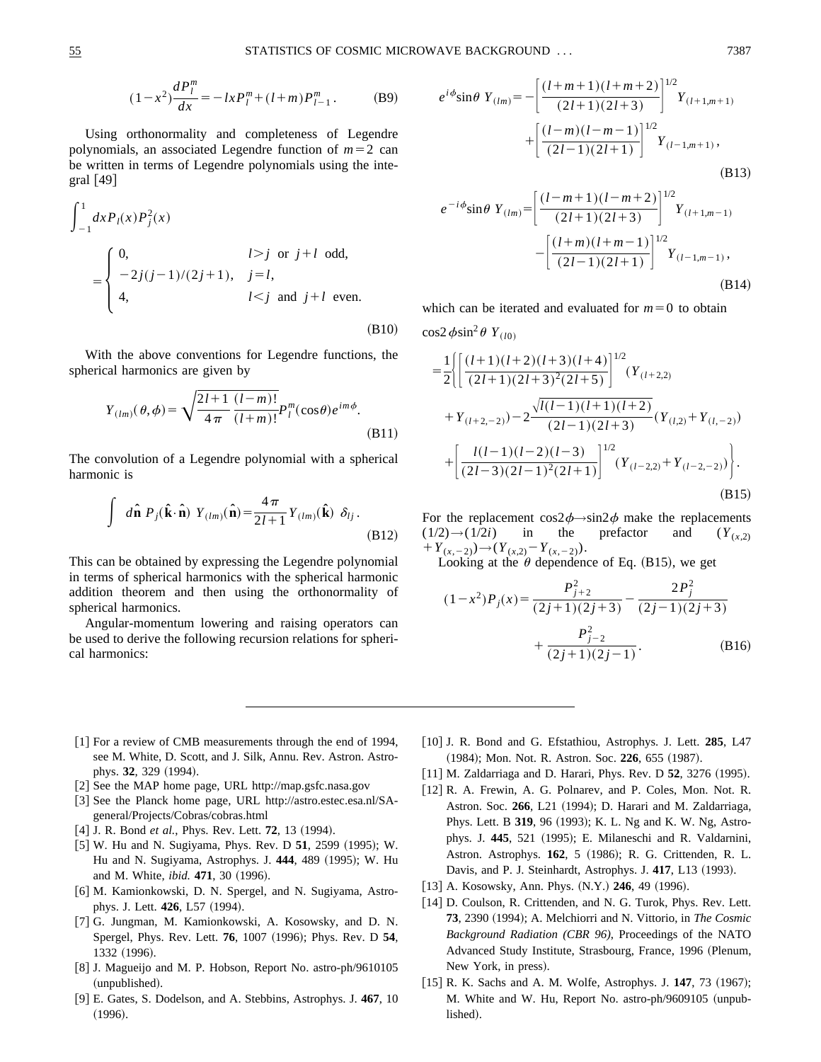$$
(1 - x2)\frac{dP_l^m}{dx} = -lxP_l^m + (l+m)P_{l-1}^m.
$$
 (B9)

Using orthonormality and completeness of Legendre polynomials, an associated Legendre function of  $m=2$  can be written in terms of Legendre polynomials using the inte- $\lvert \text{grad} \rvert \lvert 49 \rvert$ 

$$
\int_{-1}^{1} dx P_l(x) P_j^2(x)
$$
  
= 
$$
\begin{cases} 0, & l > j \text{ or } j+l \text{ odd,} \\ -2j(j-1)/(2j+1), & j=l, \\ 4, & l < j \text{ and } j+l \text{ even.} \end{cases}
$$
 (B10)

With the above conventions for Legendre functions, the spherical harmonics are given by

$$
Y_{(lm)}(\theta,\phi) = \sqrt{\frac{2l+1}{4\pi} \frac{(l-m)!}{(l+m)!}} P_l^m(\cos\theta) e^{im\phi}.
$$
\n(B11)

The convolution of a Legendre polynomial with a spherical harmonic is

$$
\int d\hat{\mathbf{n}} P_j(\hat{\mathbf{k}} \cdot \hat{\mathbf{n}}) Y_{(lm)}(\hat{\mathbf{n}}) = \frac{4\pi}{2l+1} Y_{(lm)}(\hat{\mathbf{k}}) \delta_{lj}.
$$
\n(B12)

This can be obtained by expressing the Legendre polynomial in terms of spherical harmonics with the spherical harmonic addition theorem and then using the orthonormality of spherical harmonics.

Angular-momentum lowering and raising operators can be used to derive the following recursion relations for spherical harmonics:

- [1] For a review of CMB measurements through the end of 1994, see M. White, D. Scott, and J. Silk, Annu. Rev. Astron. Astrophys. **32**, 329 (1994).
- [2] See the MAP home page, URL http://map.gsfc.nasa.gov
- [3] See the Planck home page, URL http://astro.estec.esa.nl/SAgeneral/Projects/Cobras/cobras.html
- [4] J. R. Bond *et al.*, Phys. Rev. Lett. **72**, 13 (1994).
- [5] W. Hu and N. Sugiyama, Phys. Rev. D **51**, 2599 (1995); W. Hu and N. Sugiyama, Astrophys. J. 444, 489 (1995); W. Hu and M. White, *ibid.* **471**, 30 (1996).
- [6] M. Kamionkowski, D. N. Spergel, and N. Sugiyama, Astrophys. J. Lett. 426, L57 (1994).
- [7] G. Jungman, M. Kamionkowski, A. Kosowsky, and D. N. Spergel, Phys. Rev. Lett. **76**, 1007 (1996); Phys. Rev. D **54**, 1332 (1996).
- [8] J. Magueijo and M. P. Hobson, Report No. astro-ph/9610105 (unpublished).
- @9# E. Gates, S. Dodelson, and A. Stebbins, Astrophys. J. **467**, 10  $(1996).$

$$
e^{i\phi}\sin\theta \ Y_{(lm)} = -\left[\frac{(l+m+1)(l+m+2)}{(2l+1)(2l+3)}\right]^{1/2} Y_{(l+1,m+1)} + \left[\frac{(l-m)(l-m-1)}{(2l-1)(2l+1)}\right]^{1/2} Y_{(l-1,m+1)},
$$
\n(B13)

$$
e^{-i\phi}\sin\theta \ Y_{(lm)} = \left[\frac{(l-m+1)(l-m+2)}{(2l+1)(2l+3)}\right]^{1/2} Y_{(l+1,m-1)} - \left[\frac{(l+m)(l+m-1)}{(2l-1)(2l+1)}\right]^{1/2} Y_{(l-1,m-1)},
$$
(B14)

which can be iterated and evaluated for  $m=0$  to obtain

 $\cos 2\phi \sin^2 \theta$  *Y*<sub>(*l*0)</sub>

$$
= \frac{1}{2} \Biggl\{ \Biggl[ \frac{(l+1)(l+2)(l+3)(l+4)}{(2l+1)(2l+3)^2(2l+5)} \Biggr]^{1/2} (Y_{(l+2,2)} + Y_{(l+2,-2)}) - 2 \frac{\sqrt{l(l-1)(l+1)(l+2)}}{(2l-1)(2l+3)} (Y_{(l,2)} + Y_{(l,-2)}) + \Biggl[ \frac{l(l-1)(l-2)(l-3)}{(2l-3)(2l-1)^2(2l+1)} \Biggr]^{1/2} (Y_{(l-2,2)} + Y_{(l-2,-2)}) \Biggr].
$$
\n(B15)

For the replacement  $\cos 2\phi \rightarrow \sin 2\phi$  make the replacements  $(1/2) \rightarrow (1/2i)$  in the prefactor and  $(Y_{(x,2)})$  $(1/2) \rightarrow (1/2i)$  $+Y_{(x,-2)}$ )→ $(Y_{(x,2)} - Y_{(x,-2)}).$ 

Looking at the  $\theta$  dependence of Eq. (B15), we get

$$
(1-x^2)P_j(x) = \frac{P_{j+2}^2}{(2j+1)(2j+3)} - \frac{2P_j^2}{(2j-1)(2j+3)} + \frac{P_{j-2}^2}{(2j+1)(2j-1)}.
$$
 (B16)

- @10# J. R. Bond and G. Efstathiou, Astrophys. J. Lett. **285**, L47 (1984); Mon. Not. R. Astron. Soc. 226, 655 (1987).
- [11] M. Zaldarriaga and D. Harari, Phys. Rev. D 52, 3276 (1995).
- [12] R. A. Frewin, A. G. Polnarev, and P. Coles, Mon. Not. R. Astron. Soc. 266, L21 (1994); D. Harari and M. Zaldarriaga, Phys. Lett. B 319, 96 (1993); K. L. Ng and K. W. Ng, Astrophys. J. 445, 521 (1995); E. Milaneschi and R. Valdarnini, Astron. Astrophys. **162**, 5 (1986); R. G. Crittenden, R. L. Davis, and P. J. Steinhardt, Astrophys. J. 417, L13 (1993).
- $[13]$  A. Kosowsky, Ann. Phys.  $(N.Y.)$  246, 49  $(1996)$ .
- [14] D. Coulson, R. Crittenden, and N. G. Turok, Phys. Rev. Lett. 73, 2390 (1994); A. Melchiorri and N. Vittorio, in *The Cosmic Background Radiation (CBR 96)*, Proceedings of the NATO Advanced Study Institute, Strasbourg, France, 1996 (Plenum, New York, in press).
- $[15]$  R. K. Sachs and A. M. Wolfe, Astrophys. J.  $147$ , 73  $(1967)$ ; M. White and W. Hu, Report No. astro-ph/9609105 (unpublished).